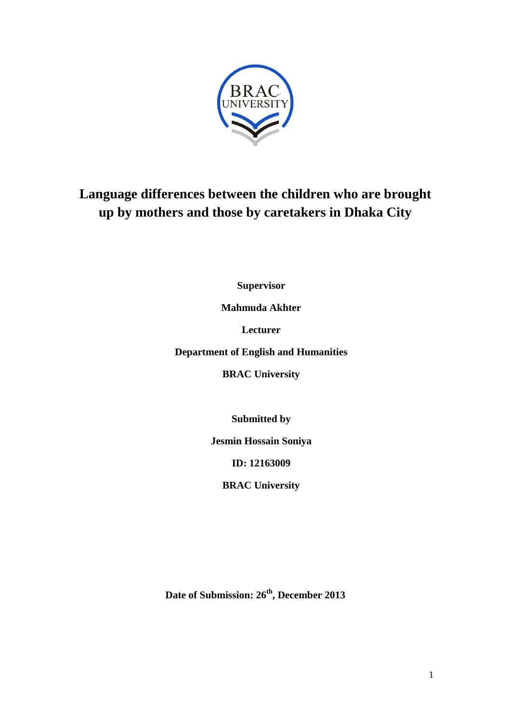

# **Language differences between the children who are brought up by mothers and those by caretakers in Dhaka City**

**Supervisor**

**Mahmuda Akhter**

**Lecturer**

**Department of English and Humanities**

**BRAC University**

**Submitted by**

**Jesmin Hossain Soniya**

**ID: 12163009**

**BRAC University**

**Date of Submission: 26th, December 2013**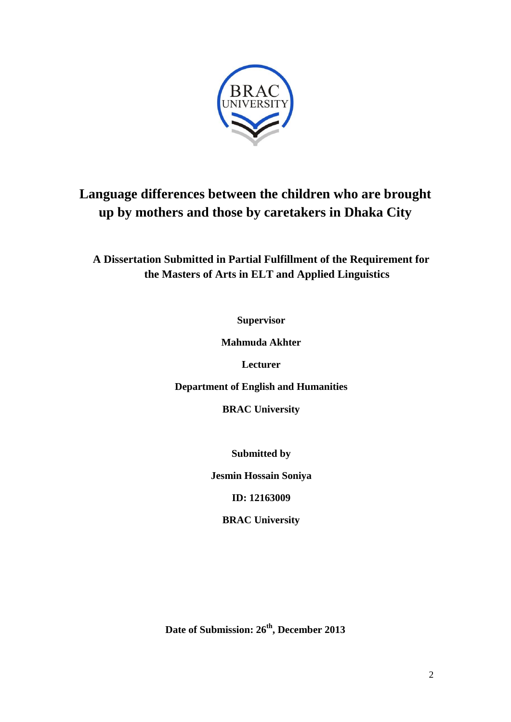

# **Language differences between the children who are brought up by mothers and those by caretakers in Dhaka City**

**A Dissertation Submitted in Partial Fulfillment of the Requirement for the Masters of Arts in ELT and Applied Linguistics**

**Supervisor**

**Mahmuda Akhter**

**Lecturer**

**Department of English and Humanities**

**BRAC University**

**Submitted by**

**Jesmin Hossain Soniya**

**ID: 12163009**

**BRAC University**

**Date of Submission: 26th, December 2013**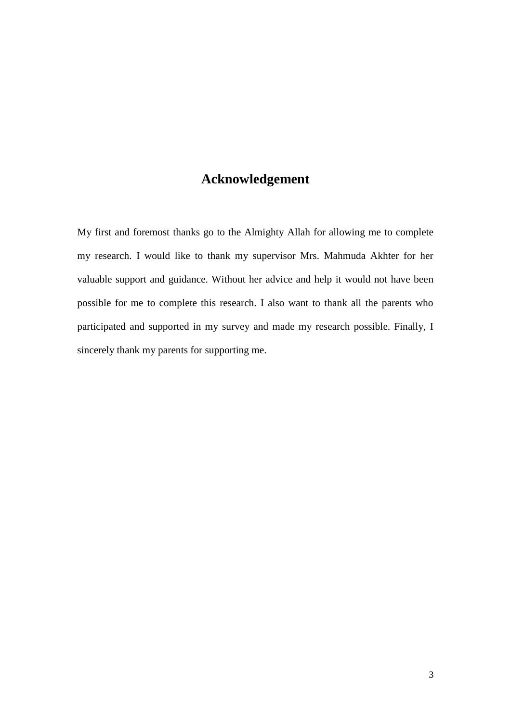# **Acknowledgement**

My first and foremost thanks go to the Almighty Allah for allowing me to complete my research. I would like to thank my supervisor Mrs. Mahmuda Akhter for her valuable support and guidance. Without her advice and help it would not have been possible for me to complete this research. I also want to thank all the parents who participated and supported in my survey and made my research possible. Finally, I sincerely thank my parents for supporting me.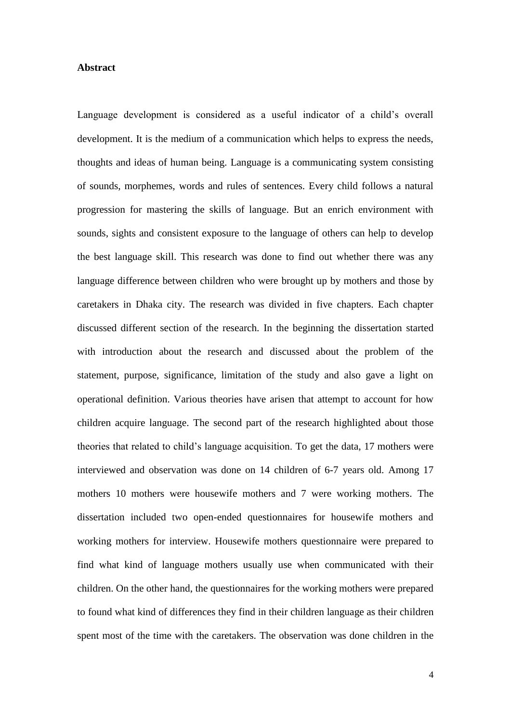### **Abstract**

Language development is considered as a useful indicator of a child's overall development. It is the medium of a communication which helps to express the needs, thoughts and ideas of human being. Language is a communicating system consisting of sounds, morphemes, words and rules of sentences. Every child follows a natural progression for mastering the skills of language. But an enrich environment with sounds, sights and consistent exposure to the language of others can help to develop the best language skill. This research was done to find out whether there was any language difference between children who were brought up by mothers and those by caretakers in Dhaka city. The research was divided in five chapters. Each chapter discussed different section of the research. In the beginning the dissertation started with introduction about the research and discussed about the problem of the statement, purpose, significance, limitation of the study and also gave a light on operational definition. Various theories have arisen that attempt to account for how children acquire language. The second part of the research highlighted about those theories that related to child's language acquisition. To get the data, 17 mothers were interviewed and observation was done on 14 children of 6-7 years old. Among 17 mothers 10 mothers were housewife mothers and 7 were working mothers. The dissertation included two open-ended questionnaires for housewife mothers and working mothers for interview. Housewife mothers questionnaire were prepared to find what kind of language mothers usually use when communicated with their children. On the other hand, the questionnaires for the working mothers were prepared to found what kind of differences they find in their children language as their children spent most of the time with the caretakers. The observation was done children in the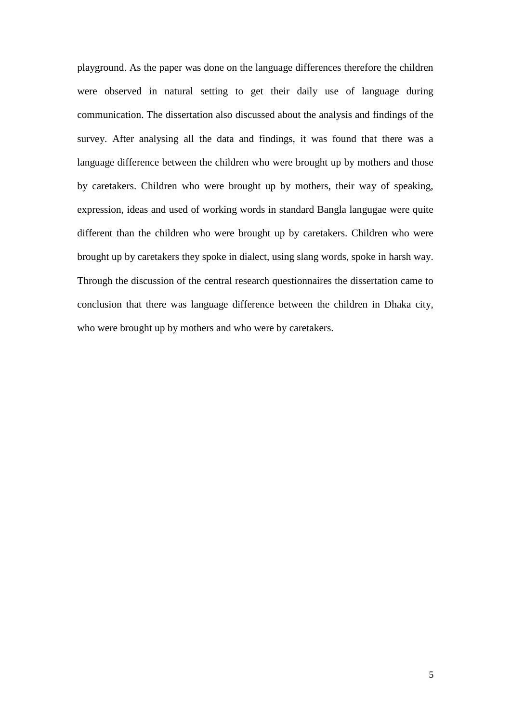playground. As the paper was done on the language differences therefore the children were observed in natural setting to get their daily use of language during communication. The dissertation also discussed about the analysis and findings of the survey. After analysing all the data and findings, it was found that there was a language difference between the children who were brought up by mothers and those by caretakers. Children who were brought up by mothers, their way of speaking, expression, ideas and used of working words in standard Bangla langugae were quite different than the children who were brought up by caretakers. Children who were brought up by caretakers they spoke in dialect, using slang words, spoke in harsh way. Through the discussion of the central research questionnaires the dissertation came to conclusion that there was language difference between the children in Dhaka city, who were brought up by mothers and who were by caretakers.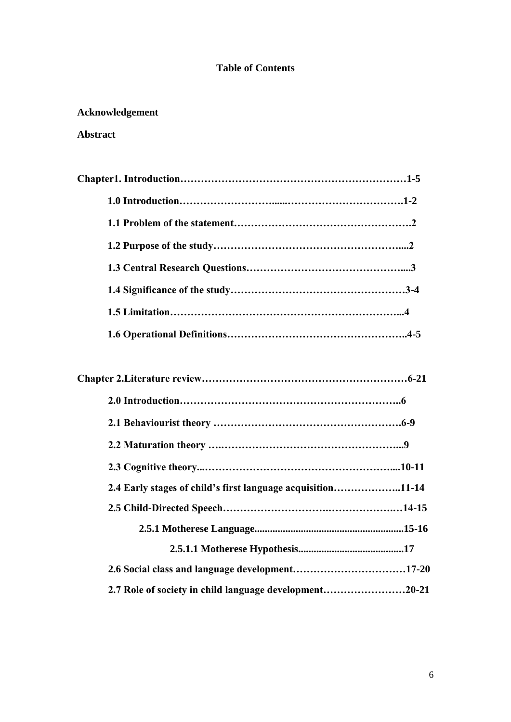# **Table of Contents**

# **Acknowledgement**

# **Abstract**

| 2.4 Early stages of child's first language acquisition11-14 |
|-------------------------------------------------------------|
|                                                             |
|                                                             |
|                                                             |
|                                                             |
| 2.7 Role of society in child language development20-21      |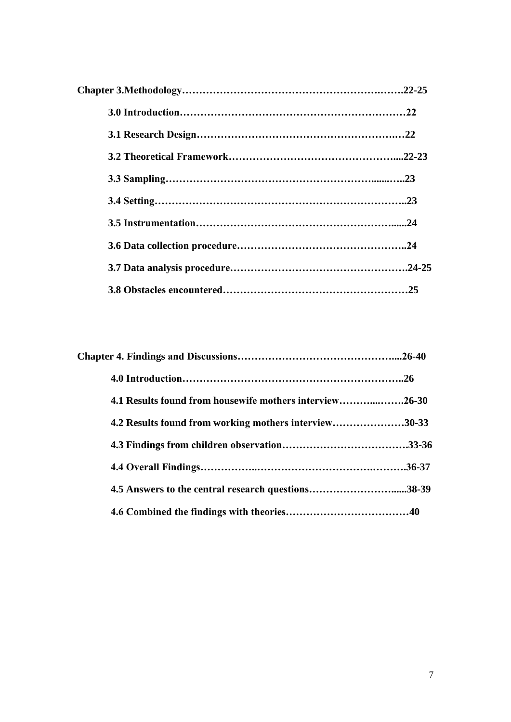| 4.1 Results found from housewife mothers interview26-30 |  |
|---------------------------------------------------------|--|
| 4.2 Results found from working mothers interview30-33   |  |
|                                                         |  |
|                                                         |  |
|                                                         |  |
|                                                         |  |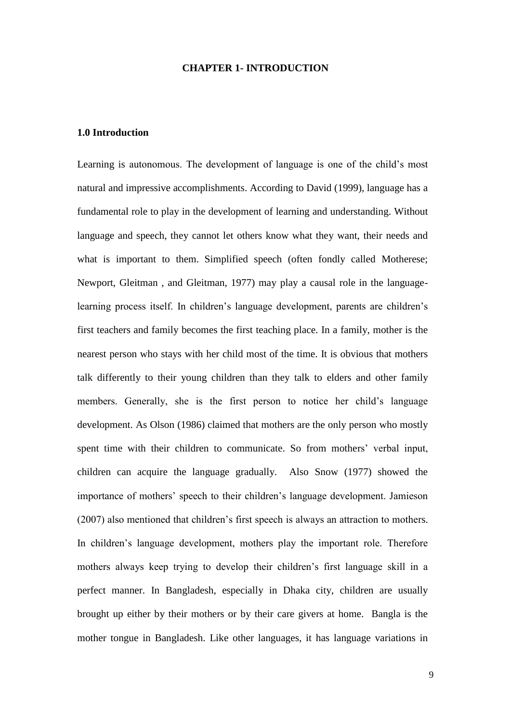#### **CHAPTER 1- INTRODUCTION**

#### **1.0 Introduction**

Learning is autonomous. The development of language is one of the child's most natural and impressive accomplishments. According to David (1999), language has a fundamental role to play in the development of learning and understanding. Without language and speech, they cannot let others know what they want, their needs and what is important to them. Simplified speech (often fondly called Motherese; Newport, Gleitman , and Gleitman, 1977) may play a causal role in the languagelearning process itself. In children's language development, parents are children's first teachers and family becomes the first teaching place. In a family, mother is the nearest person who stays with her child most of the time. It is obvious that mothers talk differently to their young children than they talk to elders and other family members. Generally, she is the first person to notice her child's language development. As Olson (1986) claimed that mothers are the only person who mostly spent time with their children to communicate. So from mothers' verbal input, children can acquire the language gradually. Also Snow (1977) showed the importance of mothers' speech to their children's language development. Jamieson (2007) also mentioned that children's first speech is always an attraction to mothers. In children's language development, mothers play the important role. Therefore mothers always keep trying to develop their children's first language skill in a perfect manner. In Bangladesh, especially in Dhaka city, children are usually brought up either by their mothers or by their care givers at home. Bangla is the mother tongue in Bangladesh. Like other languages, it has language variations in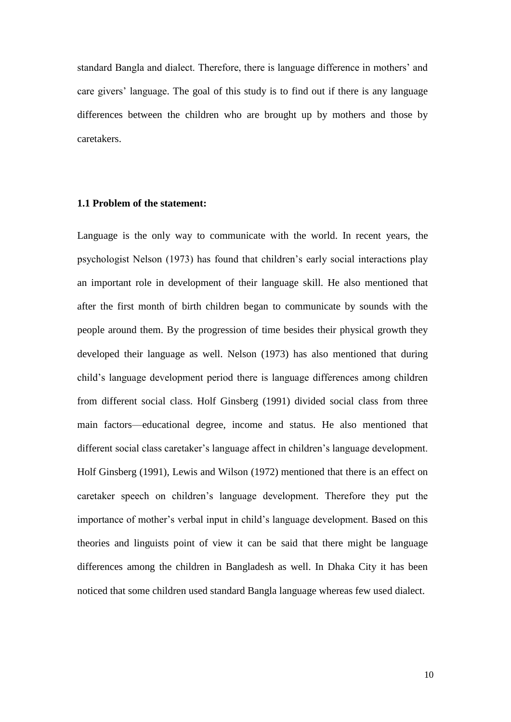standard Bangla and dialect. Therefore, there is language difference in mothers' and care givers' language. The goal of this study is to find out if there is any language differences between the children who are brought up by mothers and those by caretakers.

## **1.1 Problem of the statement:**

Language is the only way to communicate with the world. In recent years, the psychologist Nelson (1973) has found that children's early social interactions play an important role in development of their language skill. He also mentioned that after the first month of birth children began to communicate by sounds with the people around them. By the progression of time besides their physical growth they developed their language as well. Nelson (1973) has also mentioned that during child's language development period there is language differences among children from different social class. Holf Ginsberg (1991) divided social class from three main factors—educational degree, income and status. He also mentioned that different social class caretaker's language affect in children's language development. Holf Ginsberg (1991), Lewis and Wilson (1972) mentioned that there is an effect on caretaker speech on children's language development. Therefore they put the importance of mother's verbal input in child's language development. Based on this theories and linguists point of view it can be said that there might be language differences among the children in Bangladesh as well. In Dhaka City it has been noticed that some children used standard Bangla language whereas few used dialect.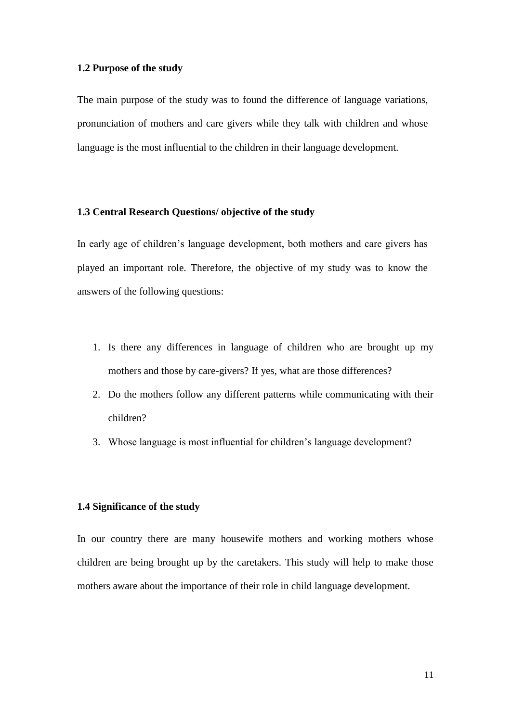#### **1.2 Purpose of the study**

The main purpose of the study was to found the difference of language variations, pronunciation of mothers and care givers while they talk with children and whose language is the most influential to the children in their language development.

# **1.3 Central Research Questions/ objective of the study**

In early age of children's language development, both mothers and care givers has played an important role. Therefore, the objective of my study was to know the answers of the following questions:

- 1. Is there any differences in language of children who are brought up my mothers and those by care-givers? If yes, what are those differences?
- 2. Do the mothers follow any different patterns while communicating with their children?
- 3. Whose language is most influential for children's language development?

# **1.4 Significance of the study**

In our country there are many housewife mothers and working mothers whose children are being brought up by the caretakers. This study will help to make those mothers aware about the importance of their role in child language development.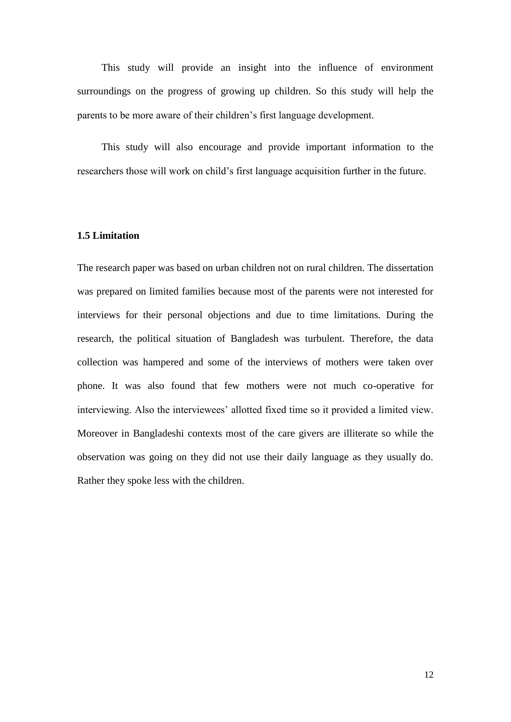This study will provide an insight into the influence of environment surroundings on the progress of growing up children. So this study will help the parents to be more aware of their children's first language development.

This study will also encourage and provide important information to the researchers those will work on child's first language acquisition further in the future.

#### **1.5 Limitation**

The research paper was based on urban children not on rural children. The dissertation was prepared on limited families because most of the parents were not interested for interviews for their personal objections and due to time limitations. During the research, the political situation of Bangladesh was turbulent. Therefore, the data collection was hampered and some of the interviews of mothers were taken over phone. It was also found that few mothers were not much co-operative for interviewing. Also the interviewees' allotted fixed time so it provided a limited view. Moreover in Bangladeshi contexts most of the care givers are illiterate so while the observation was going on they did not use their daily language as they usually do. Rather they spoke less with the children.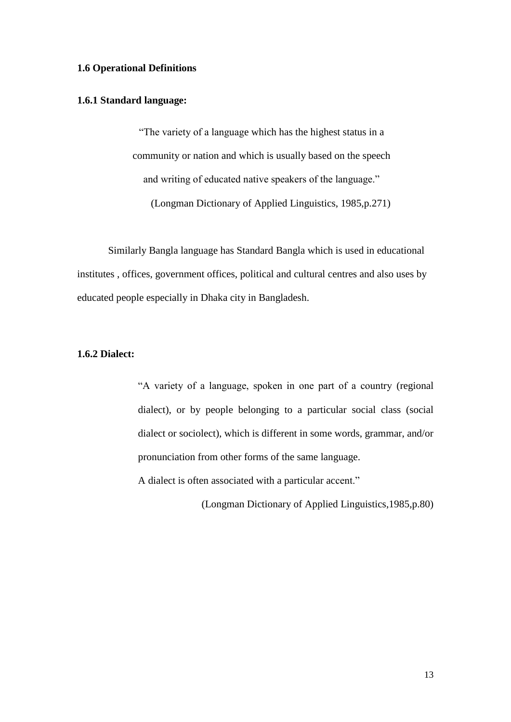# **1.6 Operational Definitions**

## **1.6.1 Standard language:**

―The variety of a language which has the highest status in a community or nation and which is usually based on the speech and writing of educated native speakers of the language." (Longman Dictionary of Applied Linguistics, 1985,p.271)

Similarly Bangla language has Standard Bangla which is used in educational institutes , offices, government offices, political and cultural centres and also uses by educated people especially in Dhaka city in Bangladesh.

# **1.6.2 Dialect:**

―A variety of a language, spoken in one part of a country (regional dialect), or by people belonging to a particular social class (social dialect or sociolect), which is different in some words, grammar, and/or pronunciation from other forms of the same language.

A dialect is often associated with a particular accent."

(Longman Dictionary of Applied Linguistics,1985,p.80)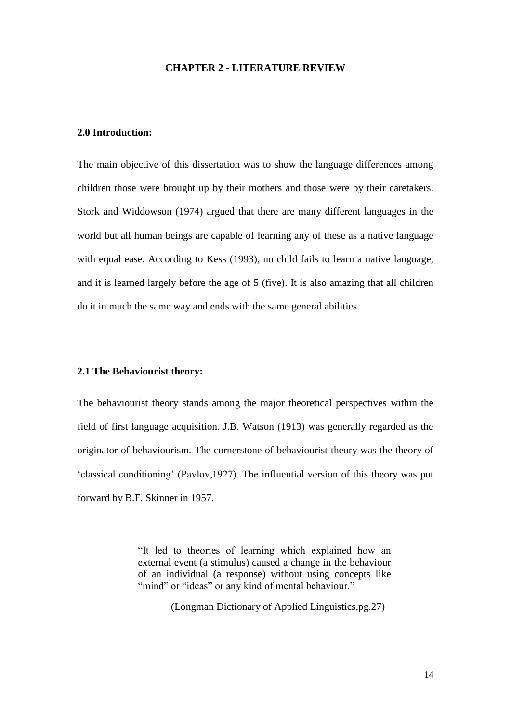#### **CHAPTER 2 - LITERATURE REVIEW**

#### **2.0 Introduction:**

The main objective of this dissertation was to show the language differences among children those were brought up by their mothers and those were by their caretakers. Stork and Widdowson (1974) argued that there are many different languages in the world but all human beings are capable of learning any of these as a native language with equal ease. According to Kess (1993), no child fails to learn a native language, and it is learned largely before the age of 5 (five). It is also amazing that all children do it in much the same way and ends with the same general abilities.

## **2.1 The Behaviourist theory:**

The behaviourist theory stands among the major theoretical perspectives within the field of first language acquisition. J.B. Watson (1913) was generally regarded as the originator of behaviourism. The cornerstone of behaviourist theory was the theory of ‗classical conditioning' (Pavlov,1927). The influential version of this theory was put forward by B.F. Skinner in 1957.

> ―It led to theories of learning which explained how an external event (a stimulus) caused a change in the behaviour of an individual (a response) without using concepts like "mind" or "ideas" or any kind of mental behaviour."

> > (Longman Dictionary of Applied Linguistics,pg.27)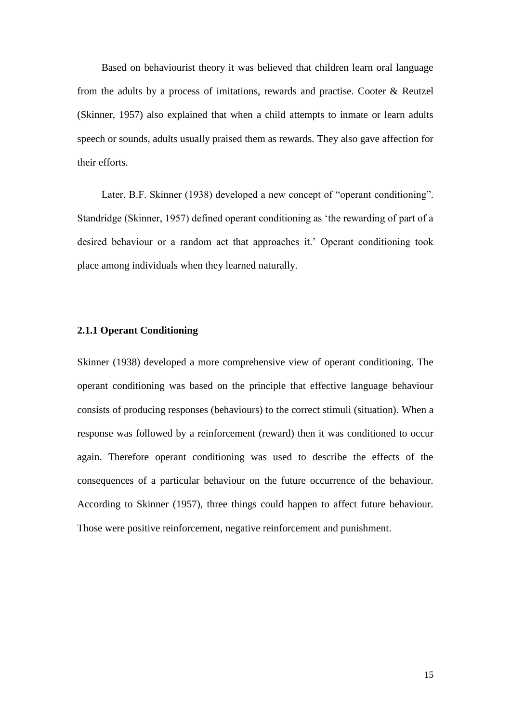Based on behaviourist theory it was believed that children learn oral language from the adults by a process of imitations, rewards and practise. Cooter & Reutzel (Skinner, 1957) also explained that when a child attempts to inmate or learn adults speech or sounds, adults usually praised them as rewards. They also gave affection for their efforts.

Later, B.F. Skinner (1938) developed a new concept of "operant conditioning". Standridge (Skinner, 1957) defined operant conditioning as 'the rewarding of part of a desired behaviour or a random act that approaches it.' Operant conditioning took place among individuals when they learned naturally.

## **2.1.1 Operant Conditioning**

Skinner (1938) developed a more comprehensive view of operant conditioning. The operant conditioning was based on the principle that effective language behaviour consists of producing responses (behaviours) to the correct stimuli (situation). When a response was followed by a reinforcement (reward) then it was conditioned to occur again. Therefore operant conditioning was used to describe the effects of the consequences of a particular behaviour on the future occurrence of the behaviour. According to Skinner (1957), three things could happen to affect future behaviour. Those were positive reinforcement, negative reinforcement and punishment.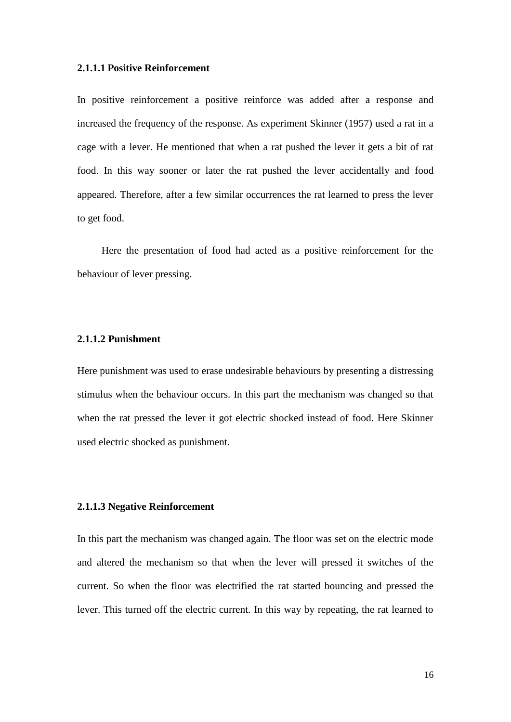#### **2.1.1.1 Positive Reinforcement**

In positive reinforcement a positive reinforce was added after a response and increased the frequency of the response. As experiment Skinner (1957) used a rat in a cage with a lever. He mentioned that when a rat pushed the lever it gets a bit of rat food. In this way sooner or later the rat pushed the lever accidentally and food appeared. Therefore, after a few similar occurrences the rat learned to press the lever to get food.

Here the presentation of food had acted as a positive reinforcement for the behaviour of lever pressing.

# **2.1.1.2 Punishment**

Here punishment was used to erase undesirable behaviours by presenting a distressing stimulus when the behaviour occurs. In this part the mechanism was changed so that when the rat pressed the lever it got electric shocked instead of food. Here Skinner used electric shocked as punishment.

# **2.1.1.3 Negative Reinforcement**

In this part the mechanism was changed again. The floor was set on the electric mode and altered the mechanism so that when the lever will pressed it switches of the current. So when the floor was electrified the rat started bouncing and pressed the lever. This turned off the electric current. In this way by repeating, the rat learned to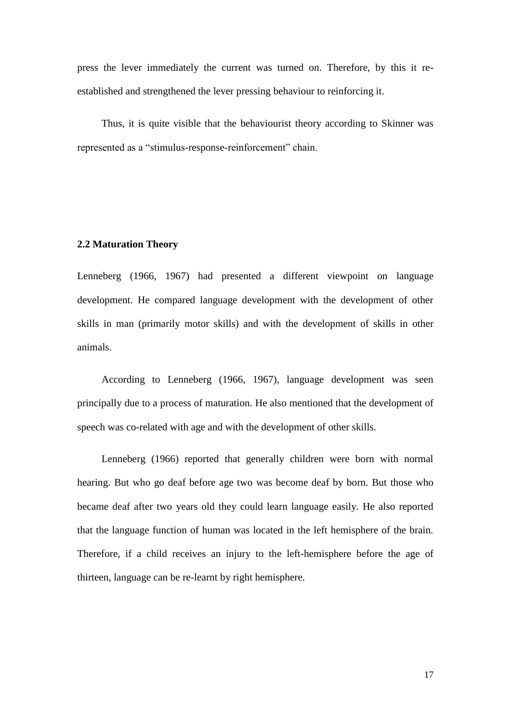press the lever immediately the current was turned on. Therefore, by this it reestablished and strengthened the lever pressing behaviour to reinforcing it.

Thus, it is quite visible that the behaviourist theory according to Skinner was represented as a "stimulus-response-reinforcement" chain.

#### **2.2 Maturation Theory**

Lenneberg (1966, 1967) had presented a different viewpoint on language development. He compared language development with the development of other skills in man (primarily motor skills) and with the development of skills in other animals.

According to Lenneberg (1966, 1967), language development was seen principally due to a process of maturation. He also mentioned that the development of speech was co-related with age and with the development of other skills.

Lenneberg (1966) reported that generally children were born with normal hearing. But who go deaf before age two was become deaf by born. But those who became deaf after two years old they could learn language easily. He also reported that the language function of human was located in the left hemisphere of the brain. Therefore, if a child receives an injury to the left-hemisphere before the age of thirteen, language can be re-learnt by right hemisphere.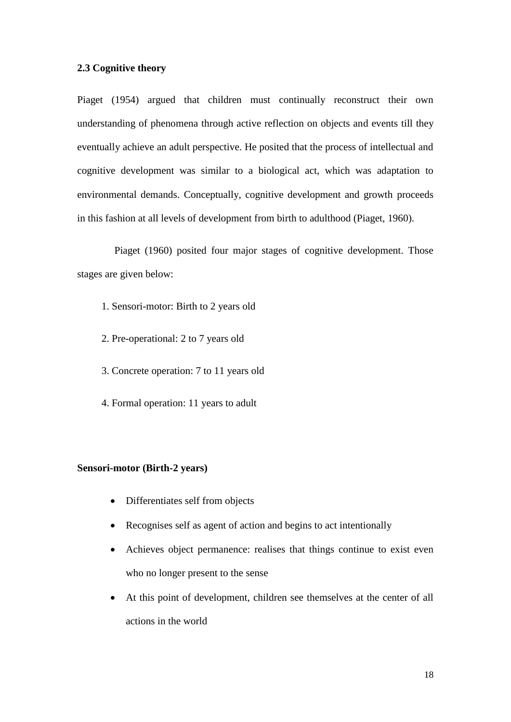#### **2.3 Cognitive theory**

Piaget (1954) argued that children must continually reconstruct their own understanding of phenomena through active reflection on objects and events till they eventually achieve an adult perspective. He posited that the process of intellectual and cognitive development was similar to a biological act, which was adaptation to environmental demands. Conceptually, cognitive development and growth proceeds in this fashion at all levels of development from birth to adulthood (Piaget, 1960).

 Piaget (1960) posited four major stages of cognitive development. Those stages are given below:

- 1. Sensori-motor: Birth to 2 years old
- 2. Pre-operational: 2 to 7 years old
- 3. Concrete operation: 7 to 11 years old
- 4. Formal operation: 11 years to adult

#### **Sensori-motor (Birth-2 years)**

- Differentiates self from objects
- Recognises self as agent of action and begins to act intentionally
- Achieves object permanence: realises that things continue to exist even who no longer present to the sense
- At this point of development, children see themselves at the center of all actions in the world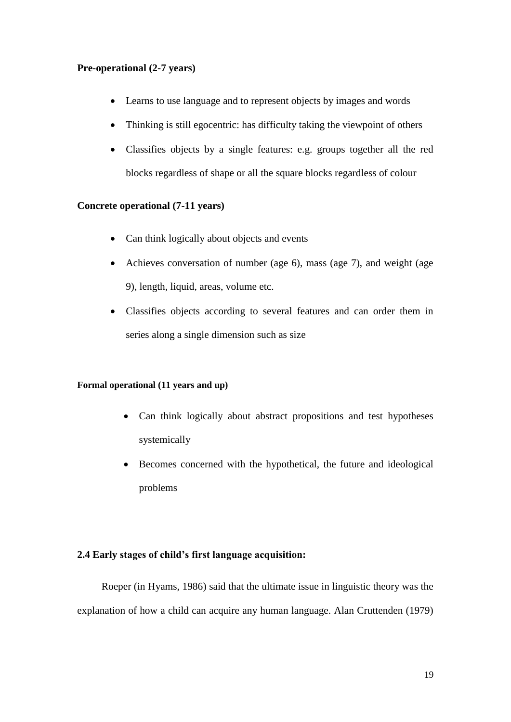# **Pre-operational (2-7 years)**

- Learns to use language and to represent objects by images and words
- Thinking is still egocentric: has difficulty taking the viewpoint of others
- Classifies objects by a single features: e.g. groups together all the red blocks regardless of shape or all the square blocks regardless of colour

# **Concrete operational (7-11 years)**

- Can think logically about objects and events
- Achieves conversation of number (age 6), mass (age 7), and weight (age 9), length, liquid, areas, volume etc.
- Classifies objects according to several features and can order them in series along a single dimension such as size

#### **Formal operational (11 years and up)**

- Can think logically about abstract propositions and test hypotheses systemically
- Becomes concerned with the hypothetical, the future and ideological problems

# **2.4 Early stages of child's first language acquisition:**

Roeper (in Hyams, 1986) said that the ultimate issue in linguistic theory was the explanation of how a child can acquire any human language. Alan Cruttenden (1979)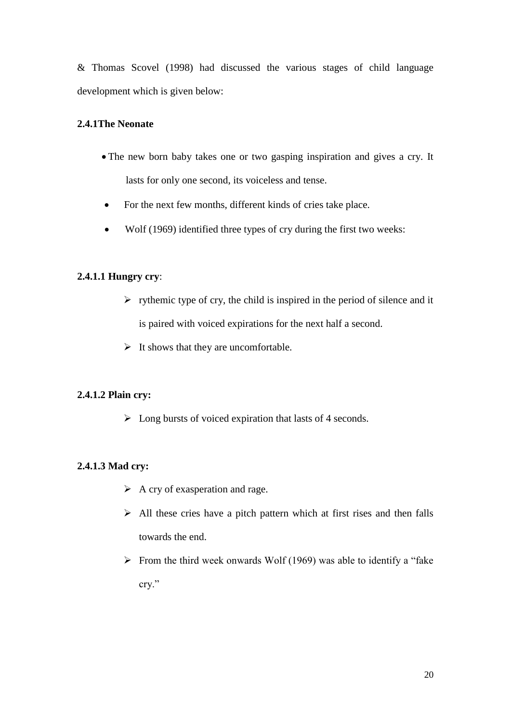& Thomas Scovel (1998) had discussed the various stages of child language development which is given below:

# **2.4.1The Neonate**

- The new born baby takes one or two gasping inspiration and gives a cry. It lasts for only one second, its voiceless and tense.
- For the next few months, different kinds of cries take place.
- Wolf (1969) identified three types of cry during the first two weeks:

# **2.4.1.1 Hungry cry**:

- $\triangleright$  rythemic type of cry, the child is inspired in the period of silence and it is paired with voiced expirations for the next half a second.
- $\triangleright$  It shows that they are uncomfortable.

# **2.4.1.2 Plain cry:**

 $\triangleright$  Long bursts of voiced expiration that lasts of 4 seconds.

# **2.4.1.3 Mad cry:**

- $\triangleright$  A cry of exasperation and rage.
- $\triangleright$  All these cries have a pitch pattern which at first rises and then falls towards the end.
- $\triangleright$  From the third week onwards Wolf (1969) was able to identify a "fake cry."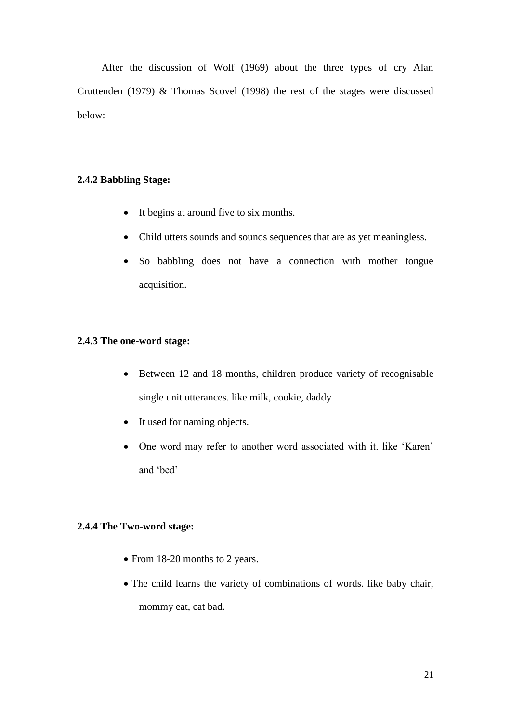After the discussion of Wolf (1969) about the three types of cry Alan Cruttenden (1979) & Thomas Scovel (1998) the rest of the stages were discussed below:

# **2.4.2 Babbling Stage:**

- It begins at around five to six months.
- Child utters sounds and sounds sequences that are as yet meaningless.
- So babbling does not have a connection with mother tongue acquisition.

### **2.4.3 The one-word stage:**

- Between 12 and 18 months, children produce variety of recognisable single unit utterances. like milk, cookie, daddy
- It used for naming objects.
- One word may refer to another word associated with it. like 'Karen' and 'bed'

# **2.4.4 The Two-word stage:**

- From 18-20 months to 2 years.
- The child learns the variety of combinations of words. like baby chair, mommy eat, cat bad.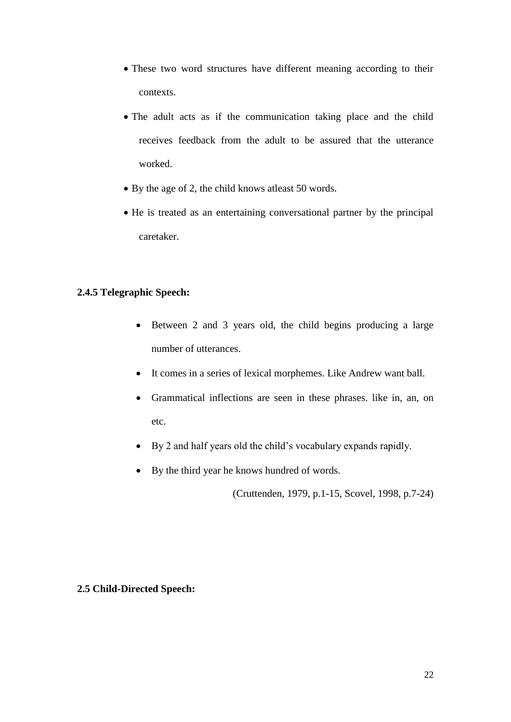- These two word structures have different meaning according to their contexts.
- The adult acts as if the communication taking place and the child receives feedback from the adult to be assured that the utterance worked.
- By the age of 2, the child knows atleast 50 words.
- He is treated as an entertaining conversational partner by the principal caretaker.

# **2.4.5 Telegraphic Speech:**

- Between 2 and 3 years old, the child begins producing a large number of utterances.
- It comes in a series of lexical morphemes. Like Andrew want ball.
- Grammatical inflections are seen in these phrases. like in, an, on etc.
- By 2 and half years old the child's vocabulary expands rapidly.
- By the third year he knows hundred of words.

(Cruttenden, 1979, p.1-15, Scovel, 1998, p.7-24)

# **2.5 Child-Directed Speech:**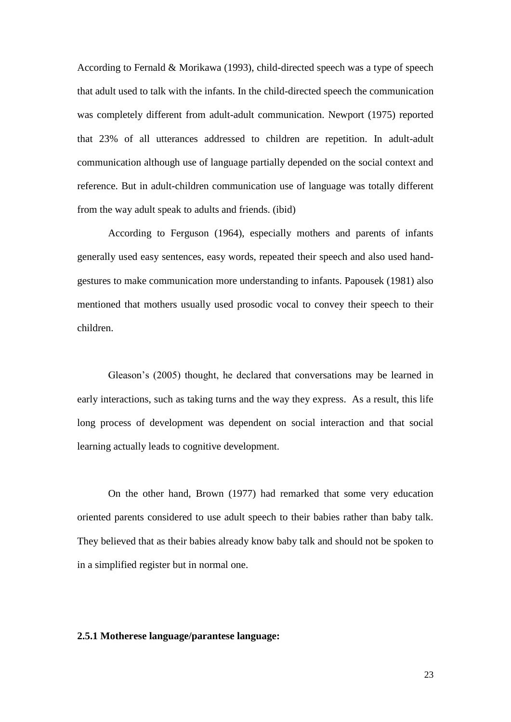According to Fernald & Morikawa (1993), child-directed speech was a type of speech that adult used to talk with the infants. In the child-directed speech the communication was completely different from adult-adult communication. Newport (1975) reported that 23% of all utterances addressed to children are repetition. In adult-adult communication although use of language partially depended on the social context and reference. But in adult-children communication use of language was totally different from the way adult speak to adults and friends. (ibid)

According to Ferguson (1964), especially mothers and parents of infants generally used easy sentences, easy words, repeated their speech and also used handgestures to make communication more understanding to infants. Papousek (1981) also mentioned that mothers usually used prosodic vocal to convey their speech to their children.

Gleason's (2005) thought, he declared that conversations may be learned in early interactions, such as taking turns and the way they express. As a result, this life long process of development was dependent on social interaction and that social learning actually leads to cognitive development.

On the other hand, Brown (1977) had remarked that some very education oriented parents considered to use adult speech to their babies rather than baby talk. They believed that as their babies already know baby talk and should not be spoken to in a simplified register but in normal one.

### **2.5.1 Motherese language/parantese language:**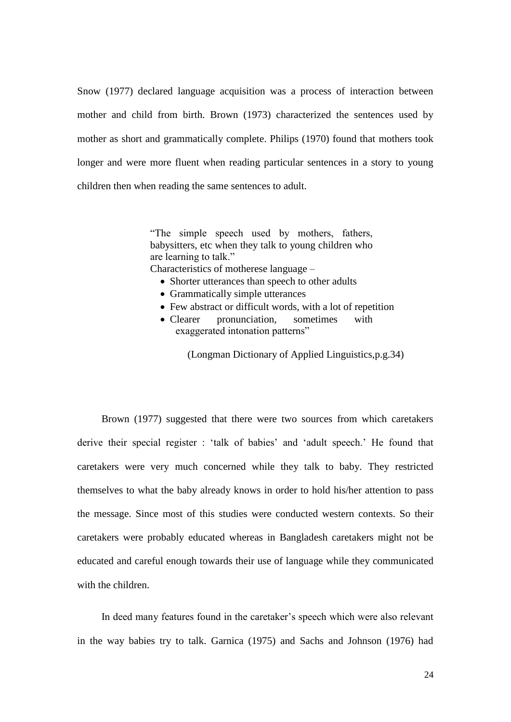Snow (1977) declared language acquisition was a process of interaction between mother and child from birth. Brown (1973) characterized the sentences used by mother as short and grammatically complete. Philips (1970) found that mothers took longer and were more fluent when reading particular sentences in a story to young children then when reading the same sentences to adult.

> "The simple speech used by mothers, fathers, babysitters, etc when they talk to young children who are learning to talk."

Characteristics of motherese language –

- Shorter utterances than speech to other adults
- Grammatically simple utterances
- Few abstract or difficult words, with a lot of repetition
- Clearer pronunciation, sometimes with exaggerated intonation patterns"

(Longman Dictionary of Applied Linguistics,p.g.34)

Brown (1977) suggested that there were two sources from which caretakers derive their special register : 'talk of babies' and 'adult speech.' He found that caretakers were very much concerned while they talk to baby. They restricted themselves to what the baby already knows in order to hold his/her attention to pass the message. Since most of this studies were conducted western contexts. So their caretakers were probably educated whereas in Bangladesh caretakers might not be educated and careful enough towards their use of language while they communicated with the children.

In deed many features found in the caretaker's speech which were also relevant in the way babies try to talk. Garnica (1975) and Sachs and Johnson (1976) had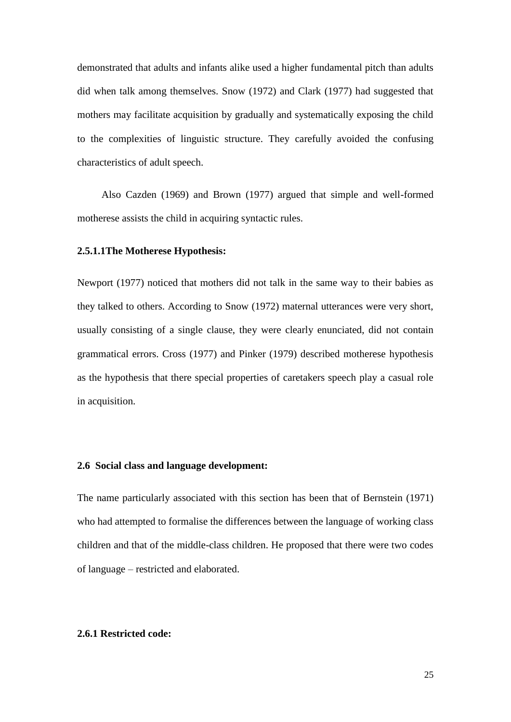demonstrated that adults and infants alike used a higher fundamental pitch than adults did when talk among themselves. Snow (1972) and Clark (1977) had suggested that mothers may facilitate acquisition by gradually and systematically exposing the child to the complexities of linguistic structure. They carefully avoided the confusing characteristics of adult speech.

Also Cazden (1969) and Brown (1977) argued that simple and well-formed motherese assists the child in acquiring syntactic rules.

#### **2.5.1.1The Motherese Hypothesis:**

Newport (1977) noticed that mothers did not talk in the same way to their babies as they talked to others. According to Snow (1972) maternal utterances were very short, usually consisting of a single clause, they were clearly enunciated, did not contain grammatical errors. Cross (1977) and Pinker (1979) described motherese hypothesis as the hypothesis that there special properties of caretakers speech play a casual role in acquisition.

## **2.6 Social class and language development:**

The name particularly associated with this section has been that of Bernstein (1971) who had attempted to formalise the differences between the language of working class children and that of the middle-class children. He proposed that there were two codes of language – restricted and elaborated.

# **2.6.1 Restricted code:**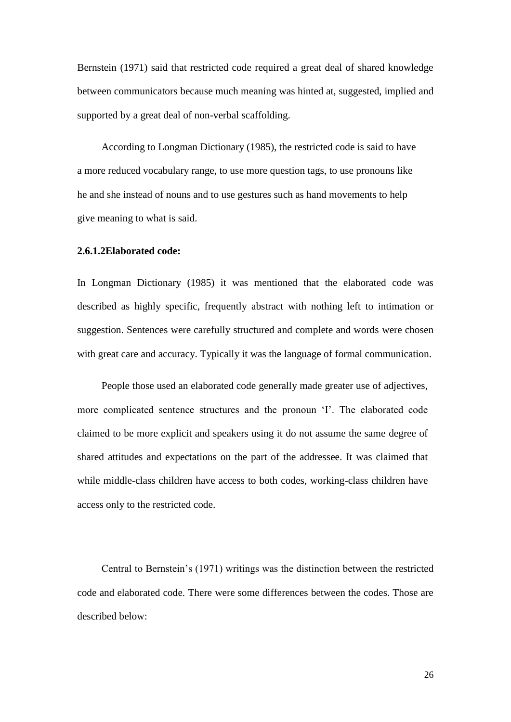Bernstein (1971) said that restricted code required a great deal of shared knowledge between communicators because much meaning was hinted at, suggested, implied and supported by a great deal of non-verbal scaffolding.

According to Longman Dictionary (1985), the restricted code is said to have a more reduced vocabulary range, to use more question tags, to use pronouns like he and she instead of nouns and to use gestures such as hand movements to help give meaning to what is said.

#### **2.6.1.2Elaborated code:**

In Longman Dictionary (1985) it was mentioned that the elaborated code was described as highly specific, frequently abstract with nothing left to intimation or suggestion. Sentences were carefully structured and complete and words were chosen with great care and accuracy. Typically it was the language of formal communication.

People those used an elaborated code generally made greater use of adjectives, more complicated sentence structures and the pronoun 'I'. The elaborated code claimed to be more explicit and speakers using it do not assume the same degree of shared attitudes and expectations on the part of the addressee. It was claimed that while middle-class children have access to both codes, working-class children have access only to the restricted code.

Central to Bernstein's (1971) writings was the distinction between the restricted code and elaborated code. There were some differences between the codes. Those are described below: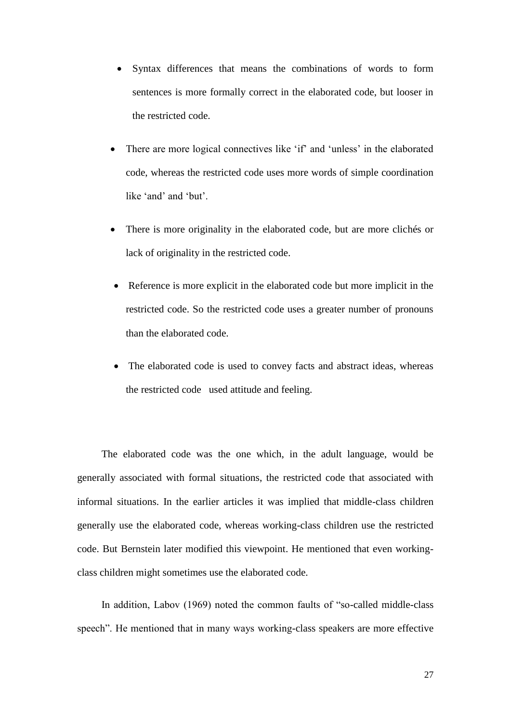- Syntax differences that means the combinations of words to form sentences is more formally correct in the elaborated code, but looser in the restricted code.
- There are more logical connectives like 'if' and 'unless' in the elaborated code, whereas the restricted code uses more words of simple coordination like 'and' and 'but'.
- There is more originality in the elaborated code, but are more clichés or lack of originality in the restricted code.
- Reference is more explicit in the elaborated code but more implicit in the restricted code. So the restricted code uses a greater number of pronouns than the elaborated code.
- The elaborated code is used to convey facts and abstract ideas, whereas the restricted code used attitude and feeling.

The elaborated code was the one which, in the adult language, would be generally associated with formal situations, the restricted code that associated with informal situations. In the earlier articles it was implied that middle-class children generally use the elaborated code, whereas working-class children use the restricted code. But Bernstein later modified this viewpoint. He mentioned that even workingclass children might sometimes use the elaborated code.

In addition, Labov (1969) noted the common faults of "so-called middle-class speech". He mentioned that in many ways working-class speakers are more effective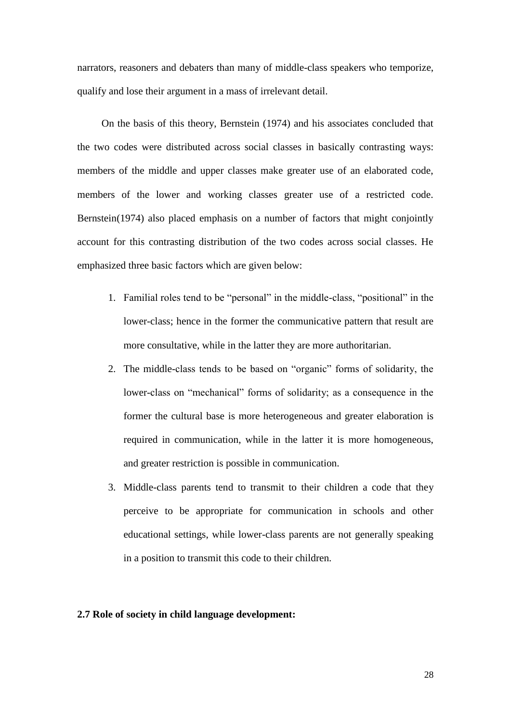narrators, reasoners and debaters than many of middle-class speakers who temporize, qualify and lose their argument in a mass of irrelevant detail.

On the basis of this theory, Bernstein (1974) and his associates concluded that the two codes were distributed across social classes in basically contrasting ways: members of the middle and upper classes make greater use of an elaborated code, members of the lower and working classes greater use of a restricted code. Bernstein(1974) also placed emphasis on a number of factors that might conjointly account for this contrasting distribution of the two codes across social classes. He emphasized three basic factors which are given below:

- 1. Familial roles tend to be "personal" in the middle-class, "positional" in the lower-class; hence in the former the communicative pattern that result are more consultative, while in the latter they are more authoritarian.
- 2. The middle-class tends to be based on "organic" forms of solidarity, the lower-class on "mechanical" forms of solidarity; as a consequence in the former the cultural base is more heterogeneous and greater elaboration is required in communication, while in the latter it is more homogeneous, and greater restriction is possible in communication.
- 3. Middle-class parents tend to transmit to their children a code that they perceive to be appropriate for communication in schools and other educational settings, while lower-class parents are not generally speaking in a position to transmit this code to their children.

#### **2.7 Role of society in child language development:**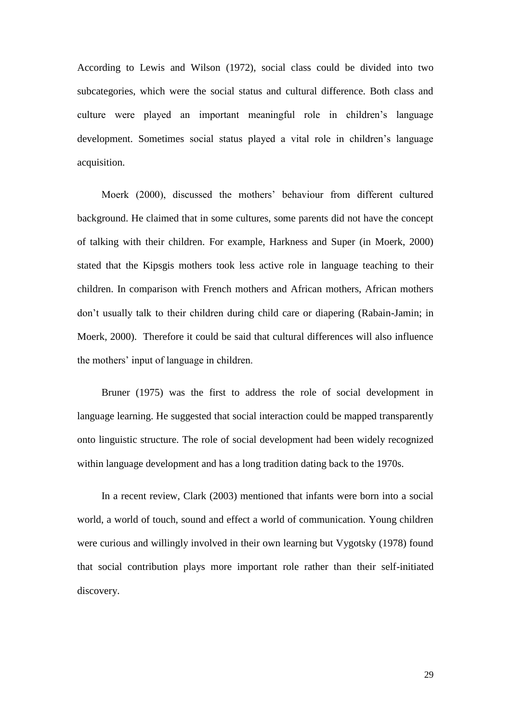According to Lewis and Wilson (1972), social class could be divided into two subcategories, which were the social status and cultural difference. Both class and culture were played an important meaningful role in children's language development. Sometimes social status played a vital role in children's language acquisition.

Moerk (2000), discussed the mothers' behaviour from different cultured background. He claimed that in some cultures, some parents did not have the concept of talking with their children. For example, Harkness and Super (in Moerk, 2000) stated that the Kipsgis mothers took less active role in language teaching to their children. In comparison with French mothers and African mothers, African mothers don't usually talk to their children during child care or diapering (Rabain-Jamin; in Moerk, 2000). Therefore it could be said that cultural differences will also influence the mothers' input of language in children.

Bruner (1975) was the first to address the role of social development in language learning. He suggested that social interaction could be mapped transparently onto linguistic structure. The role of social development had been widely recognized within language development and has a long tradition dating back to the 1970s.

In a recent review, Clark (2003) mentioned that infants were born into a social world, a world of touch, sound and effect a world of communication. Young children were curious and willingly involved in their own learning but Vygotsky (1978) found that social contribution plays more important role rather than their self-initiated discovery.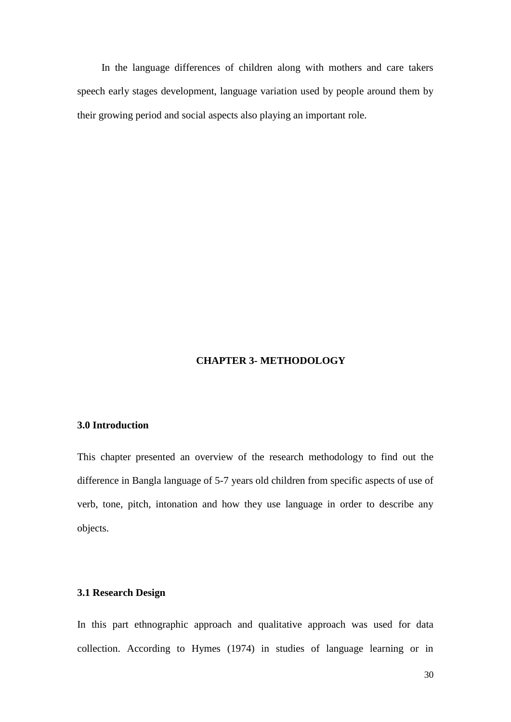In the language differences of children along with mothers and care takers speech early stages development, language variation used by people around them by their growing period and social aspects also playing an important role.

# **CHAPTER 3- METHODOLOGY**

### **3.0 Introduction**

This chapter presented an overview of the research methodology to find out the difference in Bangla language of 5-7 years old children from specific aspects of use of verb, tone, pitch, intonation and how they use language in order to describe any objects.

#### **3.1 Research Design**

In this part ethnographic approach and qualitative approach was used for data collection. According to Hymes (1974) in studies of language learning or in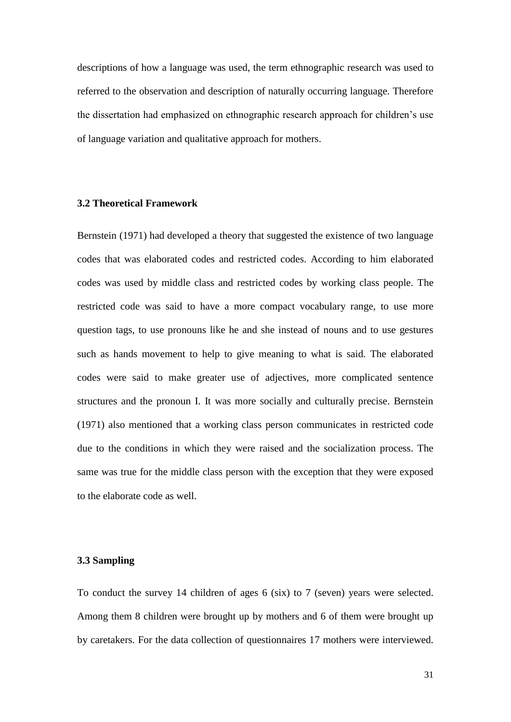descriptions of how a language was used, the term ethnographic research was used to referred to the observation and description of naturally occurring language. Therefore the dissertation had emphasized on ethnographic research approach for children's use of language variation and qualitative approach for mothers.

# **3.2 Theoretical Framework**

Bernstein (1971) had developed a theory that suggested the existence of two language codes that was elaborated codes and restricted codes. According to him elaborated codes was used by middle class and restricted codes by working class people. The restricted code was said to have a more compact vocabulary range, to use more question tags, to use pronouns like he and she instead of nouns and to use gestures such as hands movement to help to give meaning to what is said. The elaborated codes were said to make greater use of adjectives, more complicated sentence structures and the pronoun I. It was more socially and culturally precise. Bernstein (1971) also mentioned that a working class person communicates in restricted code due to the conditions in which they were raised and the socialization process. The same was true for the middle class person with the exception that they were exposed to the elaborate code as well.

#### **3.3 Sampling**

To conduct the survey 14 children of ages 6 (six) to 7 (seven) years were selected. Among them 8 children were brought up by mothers and 6 of them were brought up by caretakers. For the data collection of questionnaires 17 mothers were interviewed.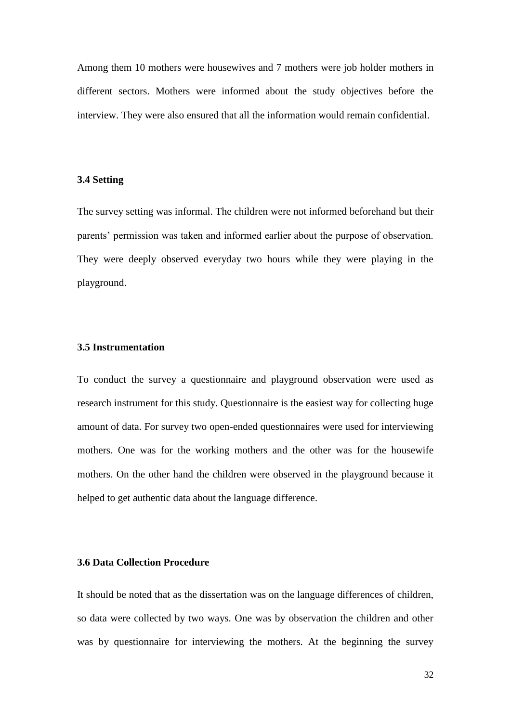Among them 10 mothers were housewives and 7 mothers were job holder mothers in different sectors. Mothers were informed about the study objectives before the interview. They were also ensured that all the information would remain confidential.

#### **3.4 Setting**

The survey setting was informal. The children were not informed beforehand but their parents' permission was taken and informed earlier about the purpose of observation. They were deeply observed everyday two hours while they were playing in the playground.

# **3.5 Instrumentation**

To conduct the survey a questionnaire and playground observation were used as research instrument for this study. Questionnaire is the easiest way for collecting huge amount of data. For survey two open-ended questionnaires were used for interviewing mothers. One was for the working mothers and the other was for the housewife mothers. On the other hand the children were observed in the playground because it helped to get authentic data about the language difference.

# **3.6 Data Collection Procedure**

It should be noted that as the dissertation was on the language differences of children, so data were collected by two ways. One was by observation the children and other was by questionnaire for interviewing the mothers. At the beginning the survey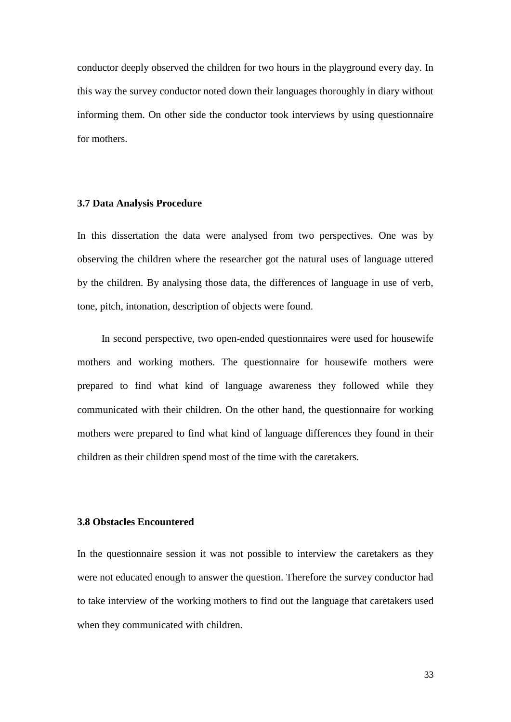conductor deeply observed the children for two hours in the playground every day. In this way the survey conductor noted down their languages thoroughly in diary without informing them. On other side the conductor took interviews by using questionnaire for mothers.

#### **3.7 Data Analysis Procedure**

In this dissertation the data were analysed from two perspectives. One was by observing the children where the researcher got the natural uses of language uttered by the children. By analysing those data, the differences of language in use of verb, tone, pitch, intonation, description of objects were found.

In second perspective, two open-ended questionnaires were used for housewife mothers and working mothers. The questionnaire for housewife mothers were prepared to find what kind of language awareness they followed while they communicated with their children. On the other hand, the questionnaire for working mothers were prepared to find what kind of language differences they found in their children as their children spend most of the time with the caretakers.

# **3.8 Obstacles Encountered**

In the questionnaire session it was not possible to interview the caretakers as they were not educated enough to answer the question. Therefore the survey conductor had to take interview of the working mothers to find out the language that caretakers used when they communicated with children.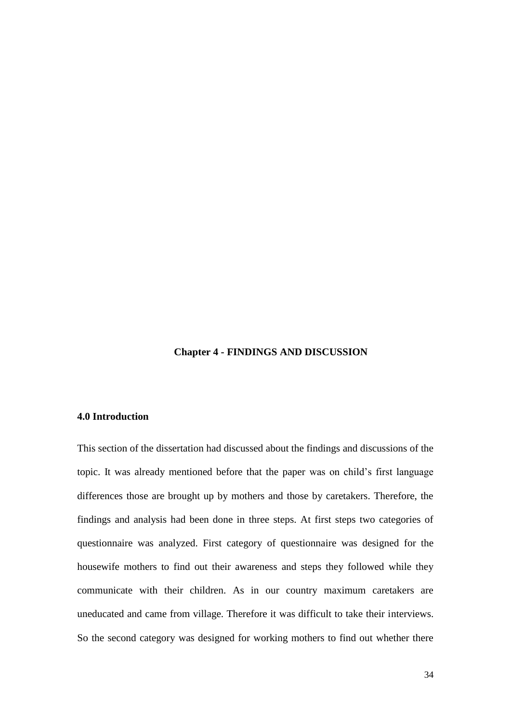# **Chapter 4 - FINDINGS AND DISCUSSION**

#### **4.0 Introduction**

This section of the dissertation had discussed about the findings and discussions of the topic. It was already mentioned before that the paper was on child's first language differences those are brought up by mothers and those by caretakers. Therefore, the findings and analysis had been done in three steps. At first steps two categories of questionnaire was analyzed. First category of questionnaire was designed for the housewife mothers to find out their awareness and steps they followed while they communicate with their children. As in our country maximum caretakers are uneducated and came from village. Therefore it was difficult to take their interviews. So the second category was designed for working mothers to find out whether there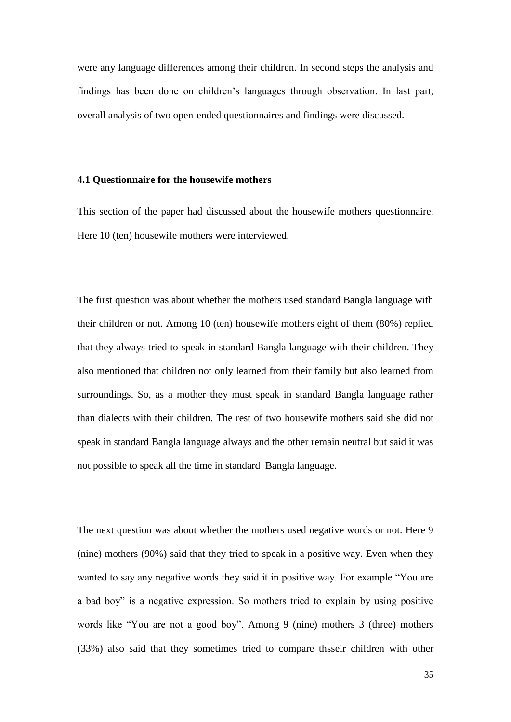were any language differences among their children. In second steps the analysis and findings has been done on children's languages through observation. In last part, overall analysis of two open-ended questionnaires and findings were discussed.

#### **4.1 Questionnaire for the housewife mothers**

This section of the paper had discussed about the housewife mothers questionnaire. Here 10 (ten) housewife mothers were interviewed.

The first question was about whether the mothers used standard Bangla language with their children or not. Among 10 (ten) housewife mothers eight of them (80%) replied that they always tried to speak in standard Bangla language with their children. They also mentioned that children not only learned from their family but also learned from surroundings. So, as a mother they must speak in standard Bangla language rather than dialects with their children. The rest of two housewife mothers said she did not speak in standard Bangla language always and the other remain neutral but said it was not possible to speak all the time in standard Bangla language.

The next question was about whether the mothers used negative words or not. Here 9 (nine) mothers (90%) said that they tried to speak in a positive way. Even when they wanted to say any negative words they said it in positive way. For example "You are a bad boy" is a negative expression. So mothers tried to explain by using positive words like "You are not a good boy". Among 9 (nine) mothers 3 (three) mothers (33%) also said that they sometimes tried to compare thsseir children with other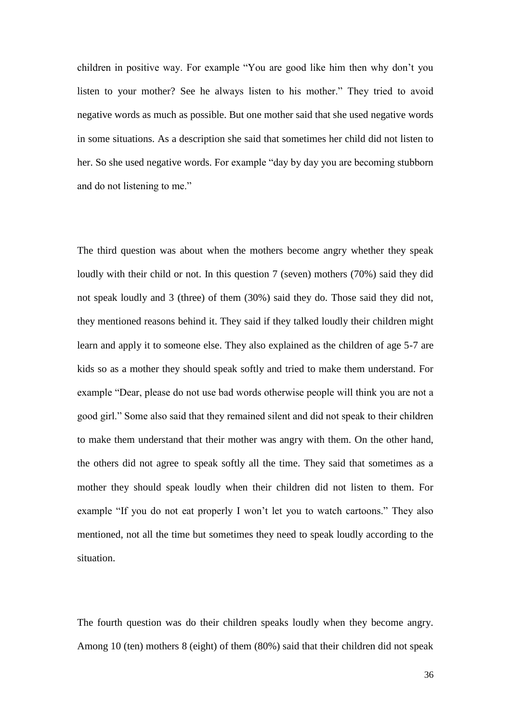children in positive way. For example "You are good like him then why don't you listen to your mother? See he always listen to his mother." They tried to avoid negative words as much as possible. But one mother said that she used negative words in some situations. As a description she said that sometimes her child did not listen to her. So she used negative words. For example "day by day you are becoming stubborn and do not listening to me."

The third question was about when the mothers become angry whether they speak loudly with their child or not. In this question 7 (seven) mothers (70%) said they did not speak loudly and 3 (three) of them (30%) said they do. Those said they did not, they mentioned reasons behind it. They said if they talked loudly their children might learn and apply it to someone else. They also explained as the children of age 5-7 are kids so as a mother they should speak softly and tried to make them understand. For example "Dear, please do not use bad words otherwise people will think you are not a good girl." Some also said that they remained silent and did not speak to their children to make them understand that their mother was angry with them. On the other hand, the others did not agree to speak softly all the time. They said that sometimes as a mother they should speak loudly when their children did not listen to them. For example "If you do not eat properly I won't let you to watch cartoons." They also mentioned, not all the time but sometimes they need to speak loudly according to the situation.

The fourth question was do their children speaks loudly when they become angry. Among 10 (ten) mothers 8 (eight) of them (80%) said that their children did not speak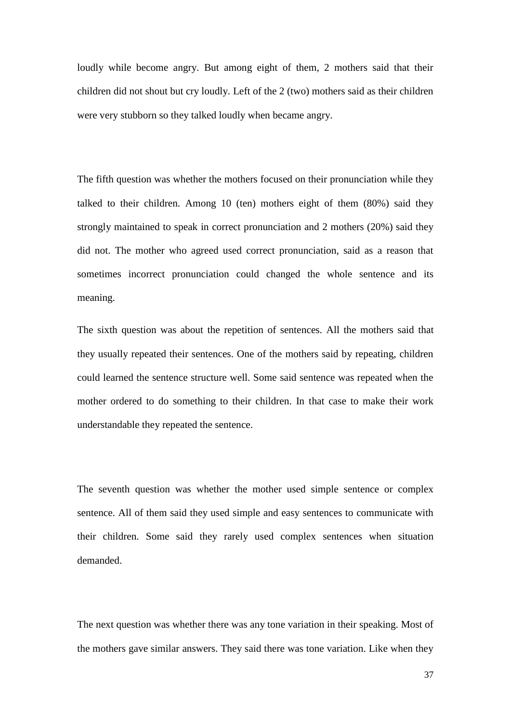loudly while become angry. But among eight of them, 2 mothers said that their children did not shout but cry loudly. Left of the 2 (two) mothers said as their children were very stubborn so they talked loudly when became angry.

The fifth question was whether the mothers focused on their pronunciation while they talked to their children. Among 10 (ten) mothers eight of them (80%) said they strongly maintained to speak in correct pronunciation and 2 mothers (20%) said they did not. The mother who agreed used correct pronunciation, said as a reason that sometimes incorrect pronunciation could changed the whole sentence and its meaning.

The sixth question was about the repetition of sentences. All the mothers said that they usually repeated their sentences. One of the mothers said by repeating, children could learned the sentence structure well. Some said sentence was repeated when the mother ordered to do something to their children. In that case to make their work understandable they repeated the sentence.

The seventh question was whether the mother used simple sentence or complex sentence. All of them said they used simple and easy sentences to communicate with their children. Some said they rarely used complex sentences when situation demanded.

The next question was whether there was any tone variation in their speaking. Most of the mothers gave similar answers. They said there was tone variation. Like when they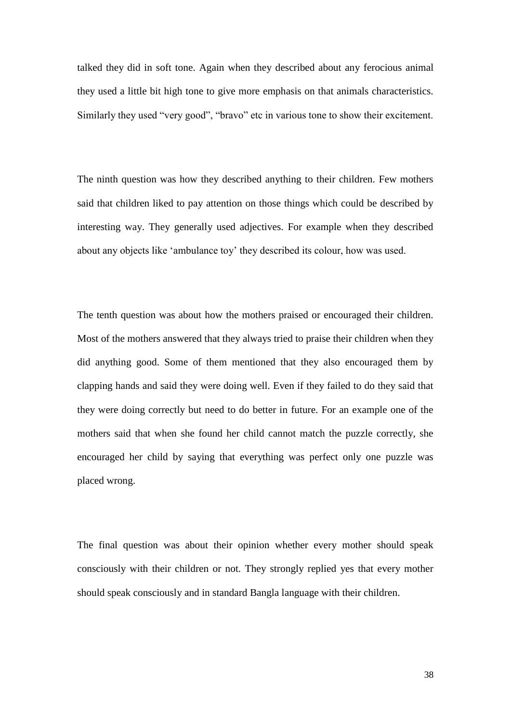talked they did in soft tone. Again when they described about any ferocious animal they used a little bit high tone to give more emphasis on that animals characteristics. Similarly they used "very good", "bravo" etc in various tone to show their excitement.

The ninth question was how they described anything to their children. Few mothers said that children liked to pay attention on those things which could be described by interesting way. They generally used adjectives. For example when they described about any objects like 'ambulance toy' they described its colour, how was used.

The tenth question was about how the mothers praised or encouraged their children. Most of the mothers answered that they always tried to praise their children when they did anything good. Some of them mentioned that they also encouraged them by clapping hands and said they were doing well. Even if they failed to do they said that they were doing correctly but need to do better in future. For an example one of the mothers said that when she found her child cannot match the puzzle correctly, she encouraged her child by saying that everything was perfect only one puzzle was placed wrong.

The final question was about their opinion whether every mother should speak consciously with their children or not. They strongly replied yes that every mother should speak consciously and in standard Bangla language with their children.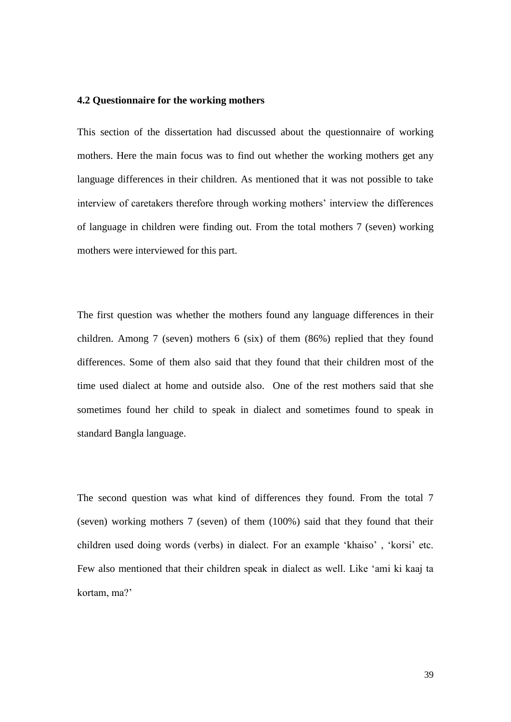#### **4.2 Questionnaire for the working mothers**

This section of the dissertation had discussed about the questionnaire of working mothers. Here the main focus was to find out whether the working mothers get any language differences in their children. As mentioned that it was not possible to take interview of caretakers therefore through working mothers' interview the differences of language in children were finding out. From the total mothers 7 (seven) working mothers were interviewed for this part.

The first question was whether the mothers found any language differences in their children. Among 7 (seven) mothers 6 (six) of them (86%) replied that they found differences. Some of them also said that they found that their children most of the time used dialect at home and outside also. One of the rest mothers said that she sometimes found her child to speak in dialect and sometimes found to speak in standard Bangla language.

The second question was what kind of differences they found. From the total 7 (seven) working mothers 7 (seven) of them (100%) said that they found that their children used doing words (verbs) in dialect. For an example 'khaiso', 'korsi' etc. Few also mentioned that their children speak in dialect as well. Like ‗ami ki kaaj ta kortam, ma?'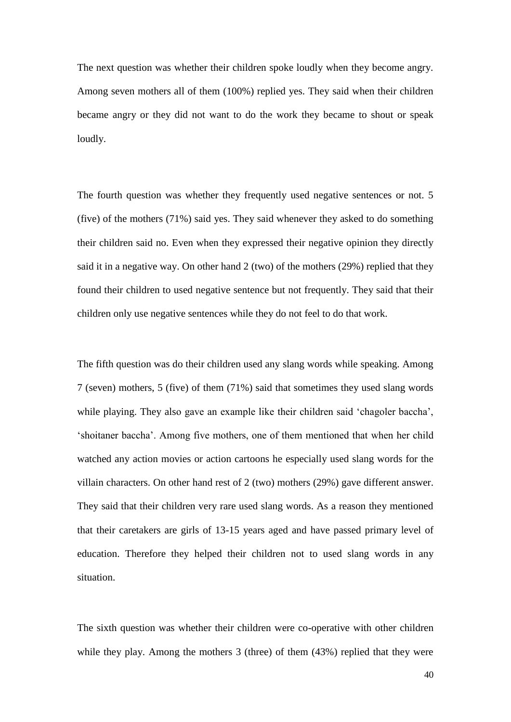The next question was whether their children spoke loudly when they become angry. Among seven mothers all of them (100%) replied yes. They said when their children became angry or they did not want to do the work they became to shout or speak loudly.

The fourth question was whether they frequently used negative sentences or not. 5 (five) of the mothers (71%) said yes. They said whenever they asked to do something their children said no. Even when they expressed their negative opinion they directly said it in a negative way. On other hand 2 (two) of the mothers (29%) replied that they found their children to used negative sentence but not frequently. They said that their children only use negative sentences while they do not feel to do that work.

The fifth question was do their children used any slang words while speaking. Among 7 (seven) mothers, 5 (five) of them (71%) said that sometimes they used slang words while playing. They also gave an example like their children said 'chagoler baccha', ‗shoitaner baccha'. Among five mothers, one of them mentioned that when her child watched any action movies or action cartoons he especially used slang words for the villain characters. On other hand rest of 2 (two) mothers (29%) gave different answer. They said that their children very rare used slang words. As a reason they mentioned that their caretakers are girls of 13-15 years aged and have passed primary level of education. Therefore they helped their children not to used slang words in any situation.

The sixth question was whether their children were co-operative with other children while they play. Among the mothers 3 (three) of them (43%) replied that they were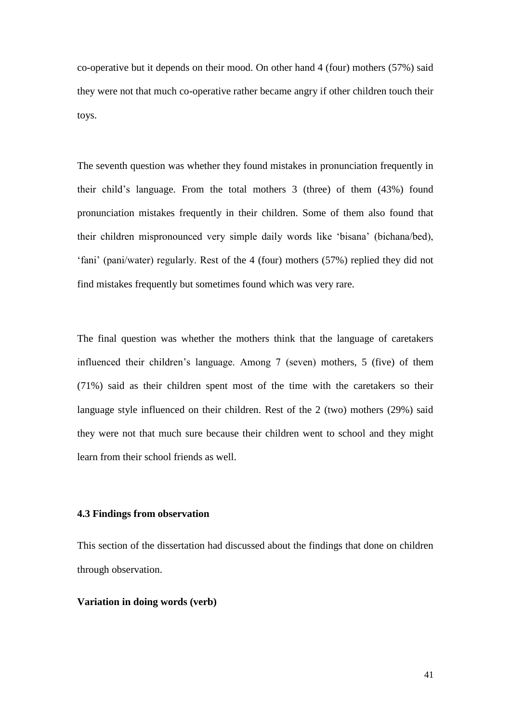co-operative but it depends on their mood. On other hand 4 (four) mothers (57%) said they were not that much co-operative rather became angry if other children touch their toys.

The seventh question was whether they found mistakes in pronunciation frequently in their child's language. From the total mothers 3 (three) of them (43%) found pronunciation mistakes frequently in their children. Some of them also found that their children mispronounced very simple daily words like ‗bisana' (bichana/bed), ‗fani' (pani/water) regularly. Rest of the 4 (four) mothers (57%) replied they did not find mistakes frequently but sometimes found which was very rare.

The final question was whether the mothers think that the language of caretakers influenced their children's language. Among 7 (seven) mothers, 5 (five) of them (71%) said as their children spent most of the time with the caretakers so their language style influenced on their children. Rest of the 2 (two) mothers (29%) said they were not that much sure because their children went to school and they might learn from their school friends as well.

# **4.3 Findings from observation**

This section of the dissertation had discussed about the findings that done on children through observation.

#### **Variation in doing words (verb)**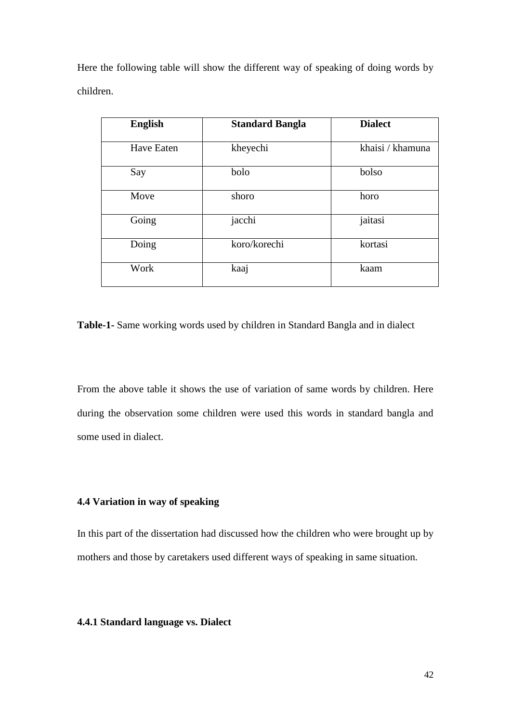Here the following table will show the different way of speaking of doing words by children.

| <b>English</b> | <b>Standard Bangla</b> | <b>Dialect</b>   |
|----------------|------------------------|------------------|
| Have Eaten     | kheyechi               | khaisi / khamuna |
| Say            | bolo                   | bolso            |
| Move           | shoro                  | horo             |
| Going          | jacchi                 | jaitasi          |
| Doing          | koro/korechi           | kortasi          |
| Work           | kaaj                   | kaam             |

**Table-1-** Same working words used by children in Standard Bangla and in dialect

From the above table it shows the use of variation of same words by children. Here during the observation some children were used this words in standard bangla and some used in dialect.

# **4.4 Variation in way of speaking**

In this part of the dissertation had discussed how the children who were brought up by mothers and those by caretakers used different ways of speaking in same situation.

# **4.4.1 Standard language vs. Dialect**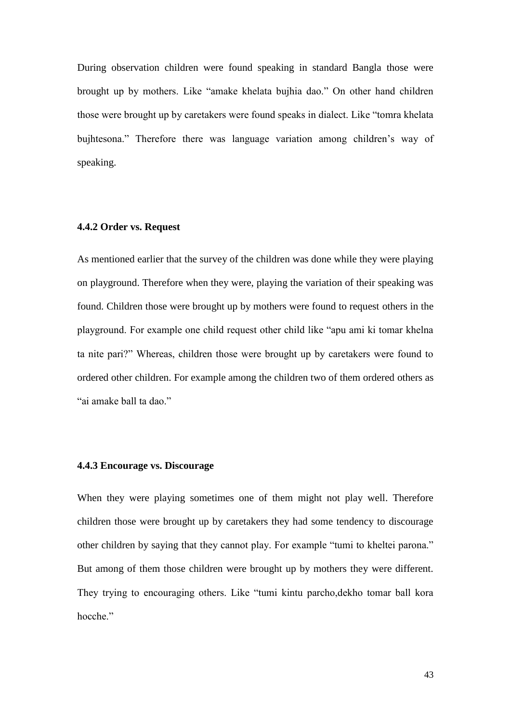During observation children were found speaking in standard Bangla those were brought up by mothers. Like "amake khelata bujhia dao." On other hand children those were brought up by caretakers were found speaks in dialect. Like "tomra khelata" bujhtesona." Therefore there was language variation among children's way of speaking.

#### **4.4.2 Order vs. Request**

As mentioned earlier that the survey of the children was done while they were playing on playground. Therefore when they were, playing the variation of their speaking was found. Children those were brought up by mothers were found to request others in the playground. For example one child request other child like "apu ami ki tomar khelna ta nite pari?" Whereas, children those were brought up by caretakers were found to ordered other children. For example among the children two of them ordered others as "ai amake ball ta dao."

## **4.4.3 Encourage vs. Discourage**

When they were playing sometimes one of them might not play well. Therefore children those were brought up by caretakers they had some tendency to discourage other children by saying that they cannot play. For example "tumi to kheltei parona." But among of them those children were brought up by mothers they were different. They trying to encouraging others. Like "tumi kintu parcho, dekho tomar ball kora hocche."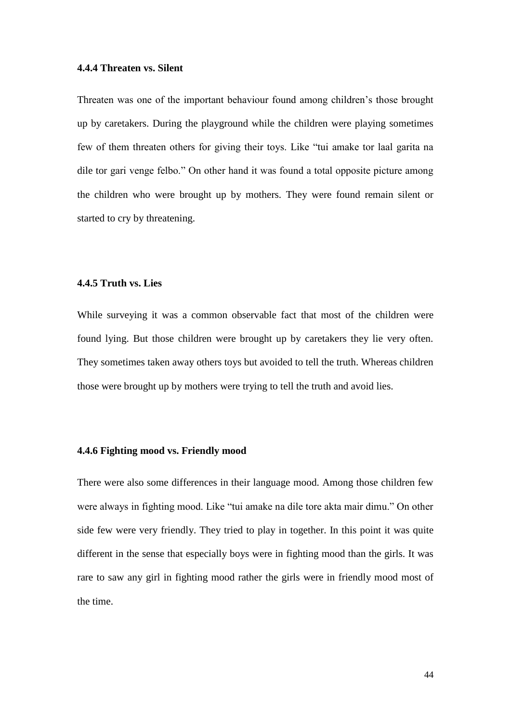#### **4.4.4 Threaten vs. Silent**

Threaten was one of the important behaviour found among children's those brought up by caretakers. During the playground while the children were playing sometimes few of them threaten others for giving their toys. Like "tui amake tor laal garita na dile tor gari venge felbo." On other hand it was found a total opposite picture among the children who were brought up by mothers. They were found remain silent or started to cry by threatening.

#### **4.4.5 Truth vs. Lies**

While surveying it was a common observable fact that most of the children were found lying. But those children were brought up by caretakers they lie very often. They sometimes taken away others toys but avoided to tell the truth. Whereas children those were brought up by mothers were trying to tell the truth and avoid lies.

#### **4.4.6 Fighting mood vs. Friendly mood**

There were also some differences in their language mood. Among those children few were always in fighting mood. Like "tui amake na dile tore akta mair dimu." On other side few were very friendly. They tried to play in together. In this point it was quite different in the sense that especially boys were in fighting mood than the girls. It was rare to saw any girl in fighting mood rather the girls were in friendly mood most of the time.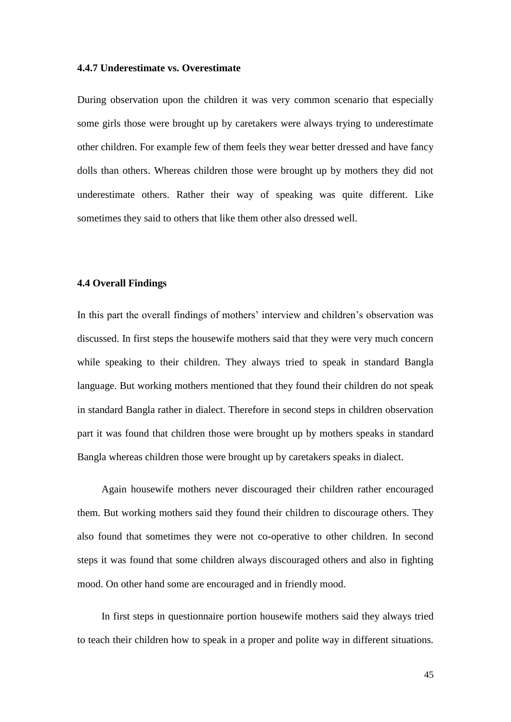#### **4.4.7 Underestimate vs. Overestimate**

During observation upon the children it was very common scenario that especially some girls those were brought up by caretakers were always trying to underestimate other children. For example few of them feels they wear better dressed and have fancy dolls than others. Whereas children those were brought up by mothers they did not underestimate others. Rather their way of speaking was quite different. Like sometimes they said to others that like them other also dressed well.

#### **4.4 Overall Findings**

In this part the overall findings of mothers' interview and children's observation was discussed. In first steps the housewife mothers said that they were very much concern while speaking to their children. They always tried to speak in standard Bangla language. But working mothers mentioned that they found their children do not speak in standard Bangla rather in dialect. Therefore in second steps in children observation part it was found that children those were brought up by mothers speaks in standard Bangla whereas children those were brought up by caretakers speaks in dialect.

Again housewife mothers never discouraged their children rather encouraged them. But working mothers said they found their children to discourage others. They also found that sometimes they were not co-operative to other children. In second steps it was found that some children always discouraged others and also in fighting mood. On other hand some are encouraged and in friendly mood.

In first steps in questionnaire portion housewife mothers said they always tried to teach their children how to speak in a proper and polite way in different situations.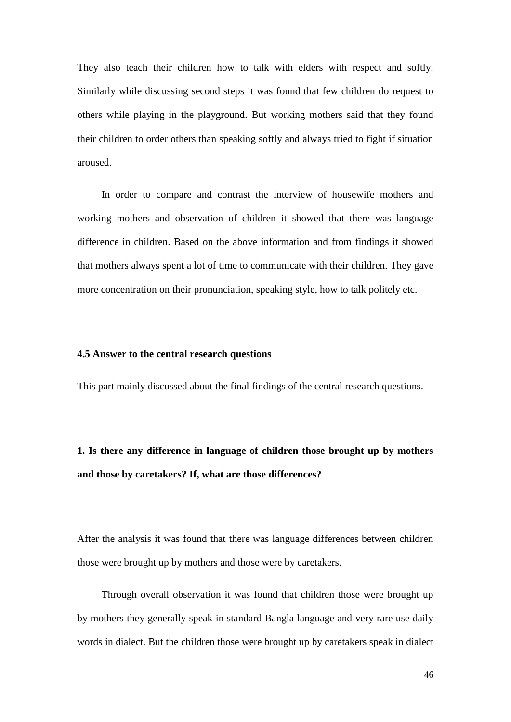They also teach their children how to talk with elders with respect and softly. Similarly while discussing second steps it was found that few children do request to others while playing in the playground. But working mothers said that they found their children to order others than speaking softly and always tried to fight if situation aroused.

In order to compare and contrast the interview of housewife mothers and working mothers and observation of children it showed that there was language difference in children. Based on the above information and from findings it showed that mothers always spent a lot of time to communicate with their children. They gave more concentration on their pronunciation, speaking style, how to talk politely etc.

#### **4.5 Answer to the central research questions**

This part mainly discussed about the final findings of the central research questions.

# **1. Is there any difference in language of children those brought up by mothers and those by caretakers? If, what are those differences?**

After the analysis it was found that there was language differences between children those were brought up by mothers and those were by caretakers.

Through overall observation it was found that children those were brought up by mothers they generally speak in standard Bangla language and very rare use daily words in dialect. But the children those were brought up by caretakers speak in dialect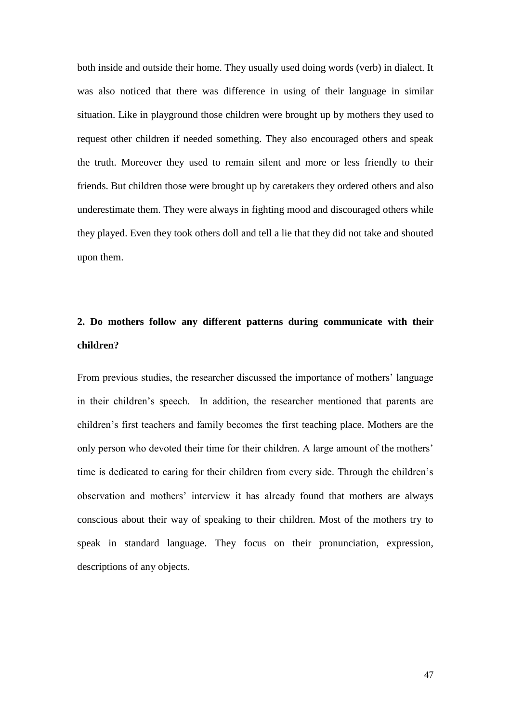both inside and outside their home. They usually used doing words (verb) in dialect. It was also noticed that there was difference in using of their language in similar situation. Like in playground those children were brought up by mothers they used to request other children if needed something. They also encouraged others and speak the truth. Moreover they used to remain silent and more or less friendly to their friends. But children those were brought up by caretakers they ordered others and also underestimate them. They were always in fighting mood and discouraged others while they played. Even they took others doll and tell a lie that they did not take and shouted upon them.

# **2. Do mothers follow any different patterns during communicate with their children?**

From previous studies, the researcher discussed the importance of mothers' language in their children's speech. In addition, the researcher mentioned that parents are children's first teachers and family becomes the first teaching place. Mothers are the only person who devoted their time for their children. A large amount of the mothers' time is dedicated to caring for their children from every side. Through the children's observation and mothers' interview it has already found that mothers are always conscious about their way of speaking to their children. Most of the mothers try to speak in standard language. They focus on their pronunciation, expression, descriptions of any objects.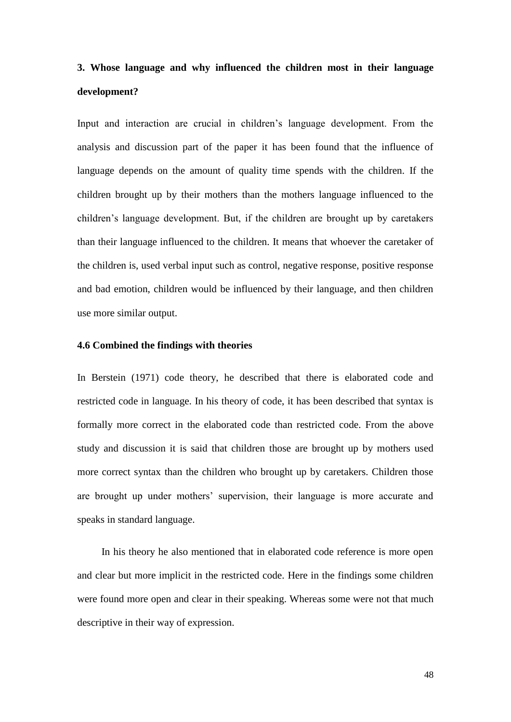# **3. Whose language and why influenced the children most in their language development?**

Input and interaction are crucial in children's language development. From the analysis and discussion part of the paper it has been found that the influence of language depends on the amount of quality time spends with the children. If the children brought up by their mothers than the mothers language influenced to the children's language development. But, if the children are brought up by caretakers than their language influenced to the children. It means that whoever the caretaker of the children is, used verbal input such as control, negative response, positive response and bad emotion, children would be influenced by their language, and then children use more similar output.

#### **4.6 Combined the findings with theories**

In Berstein (1971) code theory, he described that there is elaborated code and restricted code in language. In his theory of code, it has been described that syntax is formally more correct in the elaborated code than restricted code. From the above study and discussion it is said that children those are brought up by mothers used more correct syntax than the children who brought up by caretakers. Children those are brought up under mothers' supervision, their language is more accurate and speaks in standard language.

In his theory he also mentioned that in elaborated code reference is more open and clear but more implicit in the restricted code. Here in the findings some children were found more open and clear in their speaking. Whereas some were not that much descriptive in their way of expression.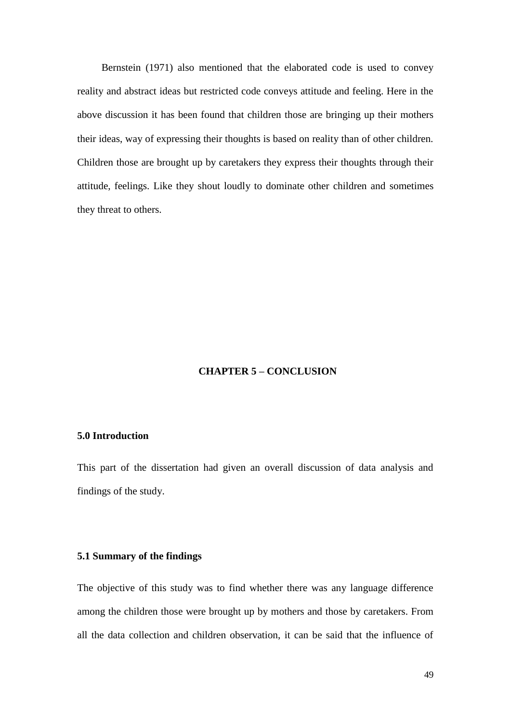Bernstein (1971) also mentioned that the elaborated code is used to convey reality and abstract ideas but restricted code conveys attitude and feeling. Here in the above discussion it has been found that children those are bringing up their mothers their ideas, way of expressing their thoughts is based on reality than of other children. Children those are brought up by caretakers they express their thoughts through their attitude, feelings. Like they shout loudly to dominate other children and sometimes they threat to others.

# **CHAPTER 5 – CONCLUSION**

### **5.0 Introduction**

This part of the dissertation had given an overall discussion of data analysis and findings of the study.

#### **5.1 Summary of the findings**

The objective of this study was to find whether there was any language difference among the children those were brought up by mothers and those by caretakers. From all the data collection and children observation, it can be said that the influence of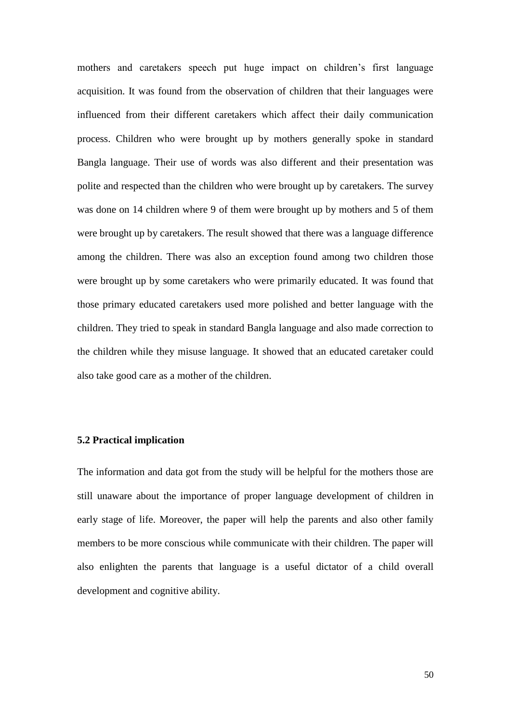mothers and caretakers speech put huge impact on children's first language acquisition. It was found from the observation of children that their languages were influenced from their different caretakers which affect their daily communication process. Children who were brought up by mothers generally spoke in standard Bangla language. Their use of words was also different and their presentation was polite and respected than the children who were brought up by caretakers. The survey was done on 14 children where 9 of them were brought up by mothers and 5 of them were brought up by caretakers. The result showed that there was a language difference among the children. There was also an exception found among two children those were brought up by some caretakers who were primarily educated. It was found that those primary educated caretakers used more polished and better language with the children. They tried to speak in standard Bangla language and also made correction to the children while they misuse language. It showed that an educated caretaker could also take good care as a mother of the children.

#### **5.2 Practical implication**

The information and data got from the study will be helpful for the mothers those are still unaware about the importance of proper language development of children in early stage of life. Moreover, the paper will help the parents and also other family members to be more conscious while communicate with their children. The paper will also enlighten the parents that language is a useful dictator of a child overall development and cognitive ability.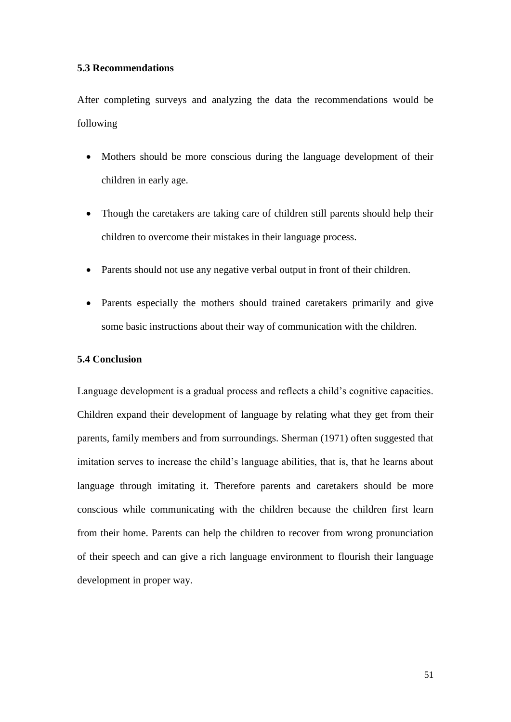### **5.3 Recommendations**

After completing surveys and analyzing the data the recommendations would be following

- Mothers should be more conscious during the language development of their children in early age.
- Though the caretakers are taking care of children still parents should help their children to overcome their mistakes in their language process.
- Parents should not use any negative verbal output in front of their children.
- Parents especially the mothers should trained caretakers primarily and give some basic instructions about their way of communication with the children.

#### **5.4 Conclusion**

Language development is a gradual process and reflects a child's cognitive capacities. Children expand their development of language by relating what they get from their parents, family members and from surroundings. Sherman (1971) often suggested that imitation serves to increase the child's language abilities, that is, that he learns about language through imitating it. Therefore parents and caretakers should be more conscious while communicating with the children because the children first learn from their home. Parents can help the children to recover from wrong pronunciation of their speech and can give a rich language environment to flourish their language development in proper way.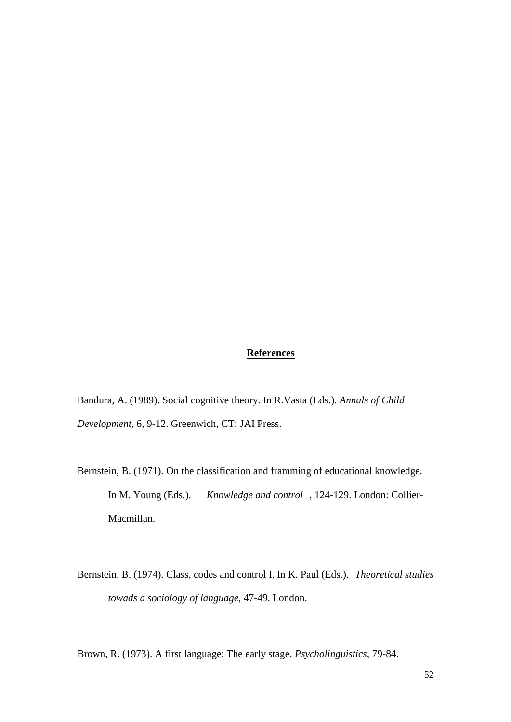## **References**

Bandura, A. (1989). Social cognitive theory. In R.Vasta (Eds.). *Annals of Child Development*, 6, 9-12. Greenwich, CT: JAI Press.

- Bernstein, B. (1971). On the classification and framming of educational knowledge. In M. Young (Eds.). *Knowledge and control* , 124-129. London: Collier-Macmillan.
- Bernstein, B. (1974). Class, codes and control I. In K. Paul (Eds.). *Theoretical studies towads a sociology of language*, 47-49. London.

Brown, R. (1973). A first language: The early stage. *Psycholinguistics*, 79-84.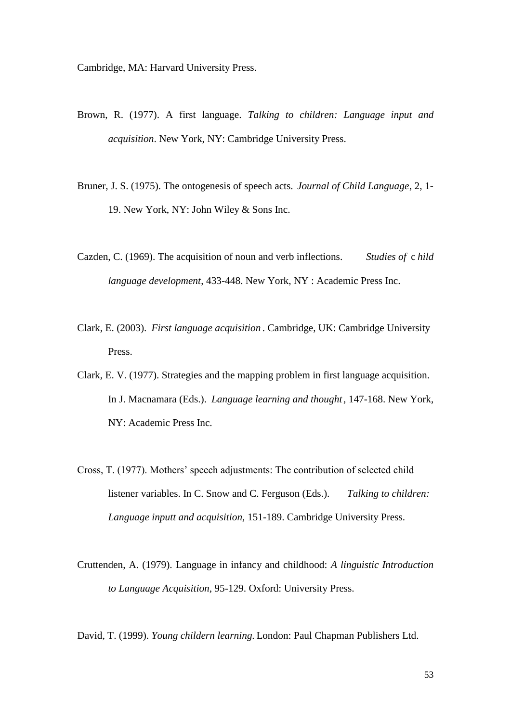Cambridge, MA: Harvard University Press.

- Brown, R. (1977). A first language. *Talking to children: Language input and acquisition*. New York, NY: Cambridge University Press.
- Bruner, J. S. (1975). The ontogenesis of speech acts. *Journal of Child Language*, 2, 1- 19. New York, NY: John Wiley & Sons Inc.
- Cazden, C. (1969). The acquisition of noun and verb inflections. *Studies of* c *hild language development*, 433-448. New York, NY : Academic Press Inc.
- Clark, E. (2003). *First language acquisition* . Cambridge, UK: Cambridge University Press.
- Clark, E. V. (1977). Strategies and the mapping problem in first language acquisition. In J. Macnamara (Eds.). *Language learning and thought*, 147-168. New York, NY: Academic Press Inc.
- Cross, T. (1977). Mothers' speech adjustments: The contribution of selected child listener variables. In C. Snow and C. Ferguson (Eds.). *Talking to children: Language inputt and acquisition,* 151-189. Cambridge University Press.
- Cruttenden, A. (1979). Language in infancy and childhood: *A linguistic Introduction to Language Acquisition*, 95-129. Oxford: University Press.

David, T. (1999). *Young childern learning.* London: Paul Chapman Publishers Ltd.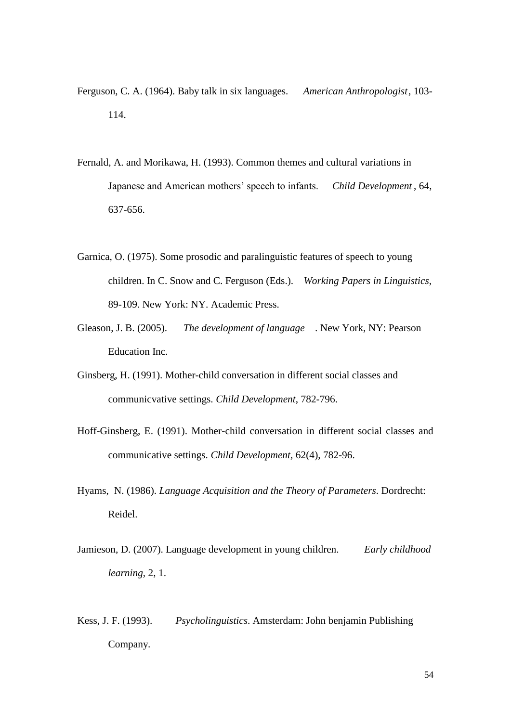- Ferguson, C. A. (1964). Baby talk in six languages. *American Anthropologist*, 103- 114.
- Fernald, A. and Morikawa, H. (1993). Common themes and cultural variations in Japanese and American mothers' speech to infants. *Child Development* , 64, 637-656.
- Garnica, O. (1975). Some prosodic and paralinguistic features of speech to young children. In C. Snow and C. Ferguson (Eds.). *Working Papers in Linguistics,* 89-109. New York: NY. Academic Press.
- Gleason, J. B. (2005). *The development of language* . New York, NY: Pearson Education Inc.
- Ginsberg, H. (1991). Mother-child conversation in different social classes and communicvative settings. *Child Development*, 782-796.
- Hoff-Ginsberg, E. (1991). Mother-child conversation in different social classes and communicative settings. *Child Development,* 62(4), 782-96.
- Hyams, N. (1986). *Language Acquisition and the Theory of Parameters*. Dordrecht: Reidel.
- Jamieson, D. (2007). Language development in young children. *Early childhood learning*, 2, 1.
- Kess, J. F. (1993). *Psycholinguistics*. Amsterdam: John benjamin Publishing Company.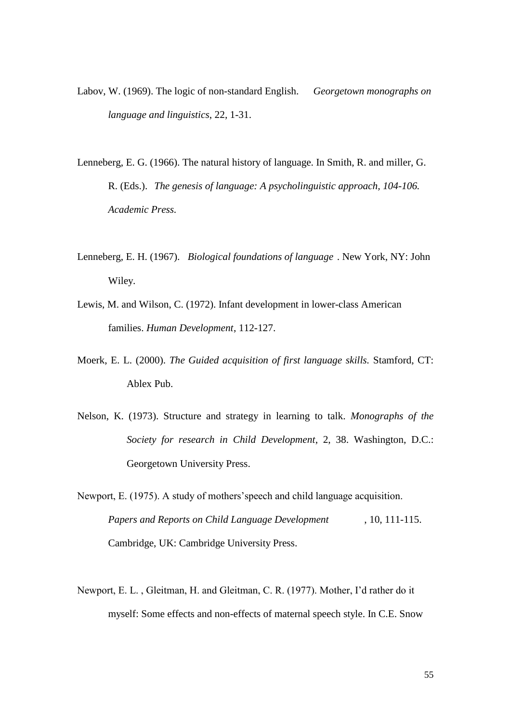- Labov, W. (1969). The logic of non-standard English. *Georgetown monographs on language and linguistics*, 22, 1-31.
- Lenneberg, E. G. (1966). The natural history of language. In Smith, R. and miller, G. R. (Eds.). *The genesis of language: A psycholinguistic approach, 104-106. Academic Press.*
- Lenneberg, E. H. (1967). *Biological foundations of language* . New York, NY: John Wiley.
- Lewis, M. and Wilson, C. (1972). Infant development in lower-class American families. *Human Development*, 112-127.
- Moerk, E. L. (2000). *The Guided acquisition of first language skills.* Stamford, CT: Ablex Pub.
- Nelson, K. (1973). Structure and strategy in learning to talk. *Monographs of the Society for research in Child Development*, 2, 38. Washington, D.C.: Georgetown University Press.
- Newport, E. (1975). A study of mothers'speech and child language acquisition. *Papers and Reports on Child Language Development* , 10, 111-115. Cambridge, UK: Cambridge University Press.
- Newport, E. L. , Gleitman, H. and Gleitman, C. R. (1977). Mother, I'd rather do it myself: Some effects and non-effects of maternal speech style. In C.E. Snow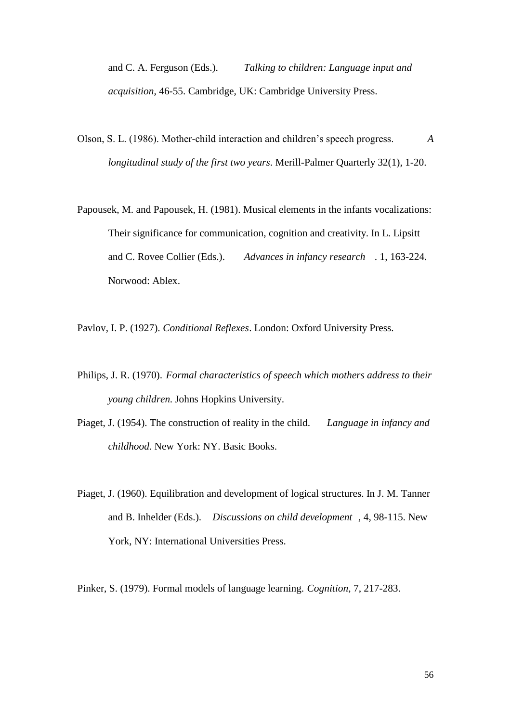and C. A. Ferguson (Eds.). *Talking to children: Language input and acquisition*, 46-55. Cambridge, UK: Cambridge University Press.

- Olson, S. L. (1986). Mother-child interaction and children's speech progress. *A longitudinal study of the first two years*. Merill-Palmer Quarterly 32(1), 1-20.
- Papousek, M. and Papousek, H. (1981). Musical elements in the infants vocalizations: Their significance for communication, cognition and creativity. In L. Lipsitt and C. Rovee Collier (Eds.). *Advances in infancy research* . 1, 163-224. Norwood: Ablex.

Pavlov, I. P. (1927). *Conditional Reflexes*. London: Oxford University Press.

- Philips, J. R. (1970). *Formal characteristics of speech which mothers address to their young children.* Johns Hopkins University.
- Piaget, J. (1954). The construction of reality in the child. *Language in infancy and childhood.* New York: NY. Basic Books.
- Piaget, J. (1960). Equilibration and development of logical structures. In J. M. Tanner and B. Inhelder (Eds.). *Discussions on child development* , 4, 98-115. New York, NY: International Universities Press.

Pinker, S. (1979). Formal models of language learning. *Cognition*, 7, 217-283.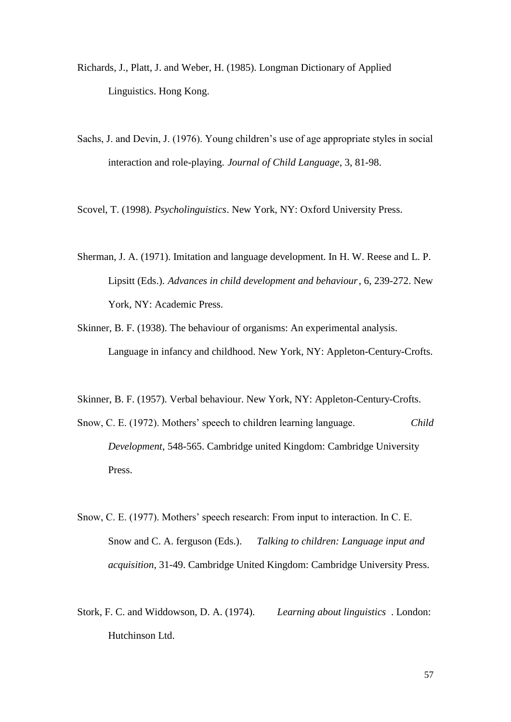- Richards, J., Platt, J. and Weber, H. (1985). Longman Dictionary of Applied Linguistics. Hong Kong.
- Sachs, J. and Devin, J. (1976). Young children's use of age appropriate styles in social interaction and role-playing. *Journal of Child Language*, 3, 81-98.

Scovel, T. (1998). *Psycholinguistics*. New York, NY: Oxford University Press.

Sherman, J. A. (1971). Imitation and language development. In H. W. Reese and L. P. Lipsitt (Eds.). *Advances in child development and behaviour*, 6, 239-272. New York, NY: Academic Press.

Skinner, B. F. (1938). The behaviour of organisms: An experimental analysis. Language in infancy and childhood. New York, NY: Appleton-Century-Crofts.

Skinner, B. F. (1957). Verbal behaviour. New York, NY: Appleton-Century-Crofts.

Snow, C. E. (1972). Mothers' speech to children learning language. *Child Development*, 548-565. Cambridge united Kingdom: Cambridge University Press.

- Snow, C. E. (1977). Mothers' speech research: From input to interaction. In C. E. Snow and C. A. ferguson (Eds.). *Talking to children: Language input and acquisition*, 31-49. Cambridge United Kingdom: Cambridge University Press.
- Stork, F. C. and Widdowson, D. A. (1974). *Learning about linguistics* . London: Hutchinson Ltd.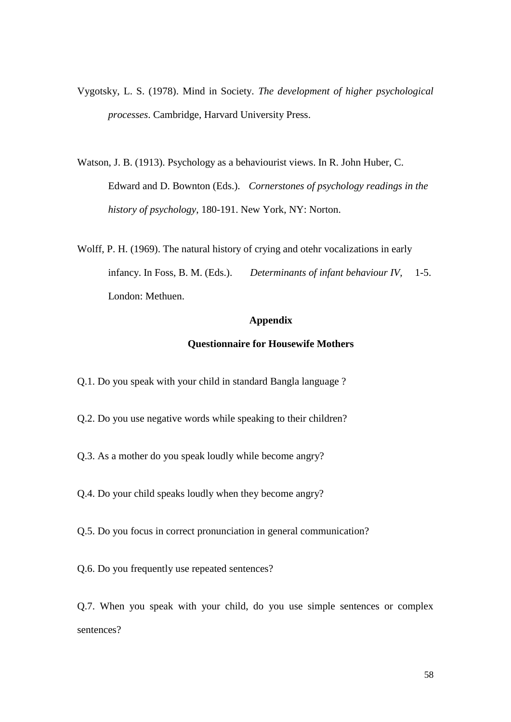- Vygotsky, L. S. (1978). Mind in Society. *The development of higher psychological processes*. Cambridge, Harvard University Press.
- Watson, J. B. (1913). Psychology as a behaviourist views. In R. John Huber, C. Edward and D. Bownton (Eds.). *Cornerstones of psychology readings in the history of psychology*, 180-191. New York, NY: Norton.
- Wolff, P. H. (1969). The natural history of crying and otehr vocalizations in early infancy. In Foss, B. M. (Eds.). *Determinants of infant behaviour IV,* 1-5. London: Methuen.

# **Appendix**

#### **Questionnaire for Housewife Mothers**

- Q.1. Do you speak with your child in standard Bangla language ?
- Q.2. Do you use negative words while speaking to their children?
- Q.3. As a mother do you speak loudly while become angry?
- Q.4. Do your child speaks loudly when they become angry?
- Q.5. Do you focus in correct pronunciation in general communication?
- Q.6. Do you frequently use repeated sentences?

Q.7. When you speak with your child, do you use simple sentences or complex sentences?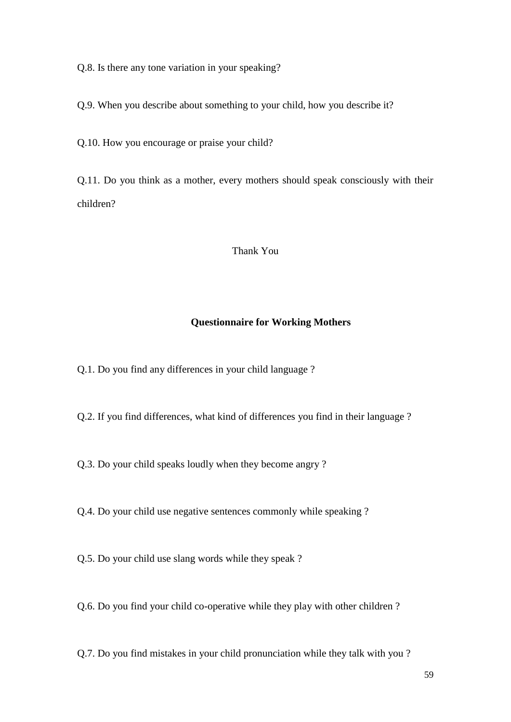Q.8. Is there any tone variation in your speaking?

Q.9. When you describe about something to your child, how you describe it?

Q.10. How you encourage or praise your child?

Q.11. Do you think as a mother, every mothers should speak consciously with their children?

# Thank You

#### **Questionnaire for Working Mothers**

Q.1. Do you find any differences in your child language ?

Q.2. If you find differences, what kind of differences you find in their language ?

Q.3. Do your child speaks loudly when they become angry ?

Q.4. Do your child use negative sentences commonly while speaking ?

Q.5. Do your child use slang words while they speak ?

Q.6. Do you find your child co-operative while they play with other children ?

Q.7. Do you find mistakes in your child pronunciation while they talk with you ?